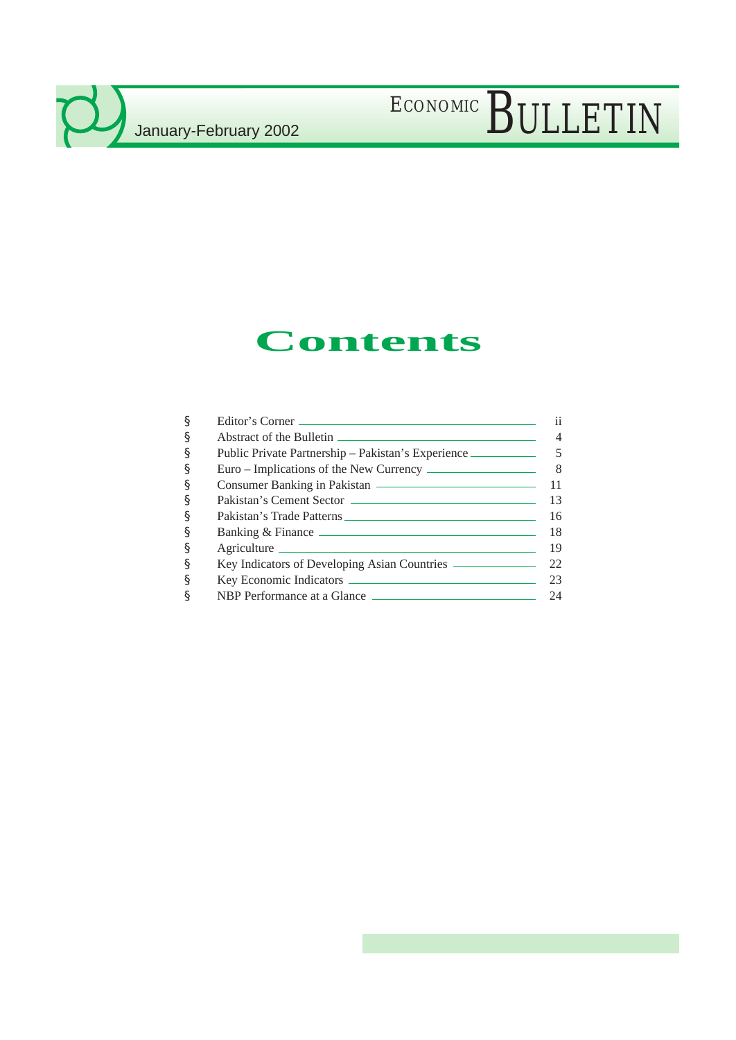# ECONOMIC BULLETIN

## **Contents**

| ş | Editor's Corner                                                                   | 11 |
|---|-----------------------------------------------------------------------------------|----|
| ş |                                                                                   |    |
| ş | Public Private Partnership – Pakistan's Experience ______________________________ |    |
| § |                                                                                   |    |
| ş |                                                                                   |    |
| ş |                                                                                   | 13 |
| ş |                                                                                   | 16 |
| ş |                                                                                   | 18 |
| ş | Agriculture                                                                       | 19 |
| ş |                                                                                   |    |
| ş |                                                                                   | 23 |
| ş | NBP Performance at a Glance                                                       | 24 |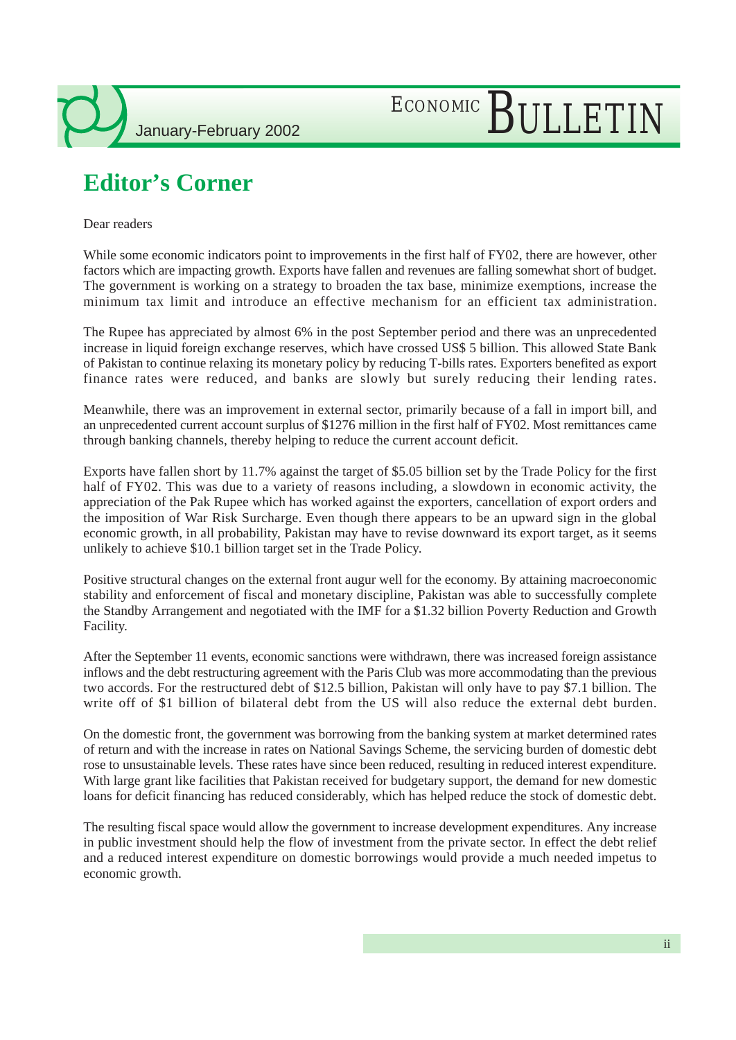# ECONOMIC BULLETIN

## **Editor's Corner**

Dear readers

While some economic indicators point to improvements in the first half of FY02, there are however, other factors which are impacting growth. Exports have fallen and revenues are falling somewhat short of budget. The government is working on a strategy to broaden the tax base, minimize exemptions, increase the minimum tax limit and introduce an effective mechanism for an efficient tax administration.

The Rupee has appreciated by almost 6% in the post September period and there was an unprecedented increase in liquid foreign exchange reserves, which have crossed US\$ 5 billion. This allowed State Bank of Pakistan to continue relaxing its monetary policy by reducing T-bills rates. Exporters benefited as export finance rates were reduced, and banks are slowly but surely reducing their lending rates.

Meanwhile, there was an improvement in external sector, primarily because of a fall in import bill, and an unprecedented current account surplus of \$1276 million in the first half of FY02. Most remittances came through banking channels, thereby helping to reduce the current account deficit.

Exports have fallen short by 11.7% against the target of \$5.05 billion set by the Trade Policy for the first half of FY02. This was due to a variety of reasons including, a slowdown in economic activity, the appreciation of the Pak Rupee which has worked against the exporters, cancellation of export orders and the imposition of War Risk Surcharge. Even though there appears to be an upward sign in the global economic growth, in all probability, Pakistan may have to revise downward its export target, as it seems unlikely to achieve \$10.1 billion target set in the Trade Policy.

Positive structural changes on the external front augur well for the economy. By attaining macroeconomic stability and enforcement of fiscal and monetary discipline, Pakistan was able to successfully complete the Standby Arrangement and negotiated with the IMF for a \$1.32 billion Poverty Reduction and Growth Facility.

After the September 11 events, economic sanctions were withdrawn, there was increased foreign assistance inflows and the debt restructuring agreement with the Paris Club was more accommodating than the previous two accords. For the restructured debt of \$12.5 billion, Pakistan will only have to pay \$7.1 billion. The write off of \$1 billion of bilateral debt from the US will also reduce the external debt burden.

On the domestic front, the government was borrowing from the banking system at market determined rates of return and with the increase in rates on National Savings Scheme, the servicing burden of domestic debt rose to unsustainable levels. These rates have since been reduced, resulting in reduced interest expenditure. With large grant like facilities that Pakistan received for budgetary support, the demand for new domestic loans for deficit financing has reduced considerably, which has helped reduce the stock of domestic debt.

The resulting fiscal space would allow the government to increase development expenditures. Any increase in public investment should help the flow of investment from the private sector. In effect the debt relief and a reduced interest expenditure on domestic borrowings would provide a much needed impetus to economic growth.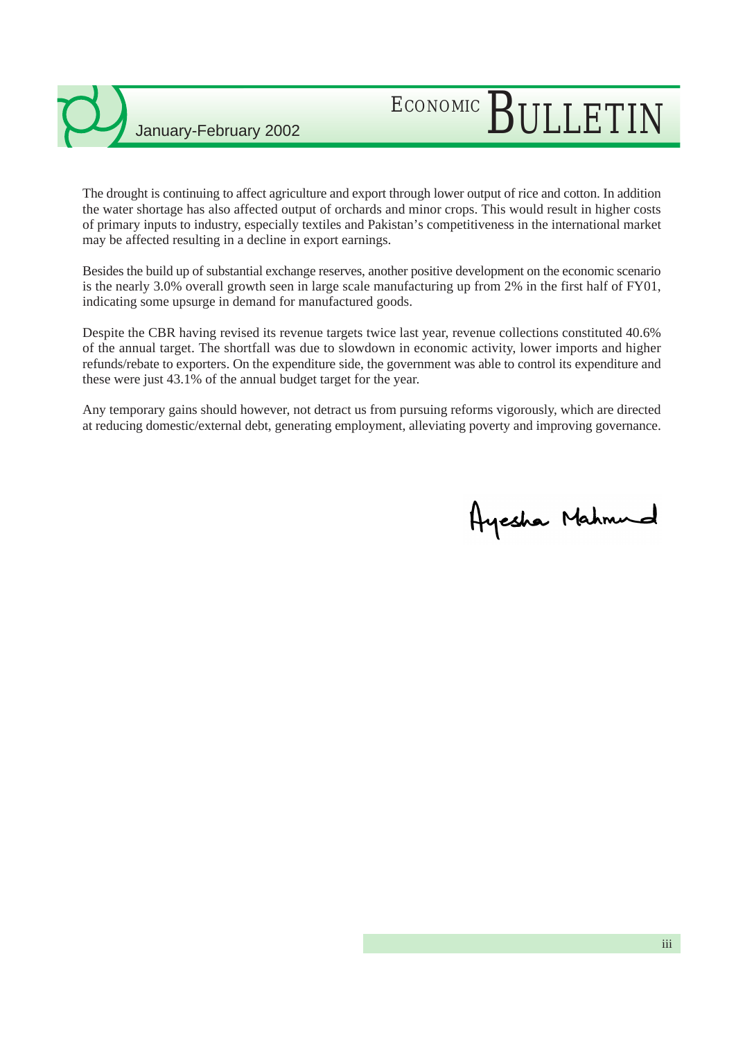# ECONOMIC BULLETIN

The drought is continuing to affect agriculture and export through lower output of rice and cotton. In addition the water shortage has also affected output of orchards and minor crops. This would result in higher costs of primary inputs to industry, especially textiles and Pakistan's competitiveness in the international market may be affected resulting in a decline in export earnings.

Besides the build up of substantial exchange reserves, another positive development on the economic scenario is the nearly 3.0% overall growth seen in large scale manufacturing up from 2% in the first half of FY01, indicating some upsurge in demand for manufactured goods.

Despite the CBR having revised its revenue targets twice last year, revenue collections constituted 40.6% of the annual target. The shortfall was due to slowdown in economic activity, lower imports and higher refunds/rebate to exporters. On the expenditure side, the government was able to control its expenditure and these were just 43.1% of the annual budget target for the year.

Any temporary gains should however, not detract us from pursuing reforms vigorously, which are directed at reducing domestic/external debt, generating employment, alleviating poverty and improving governance.

Ayesha Mahmud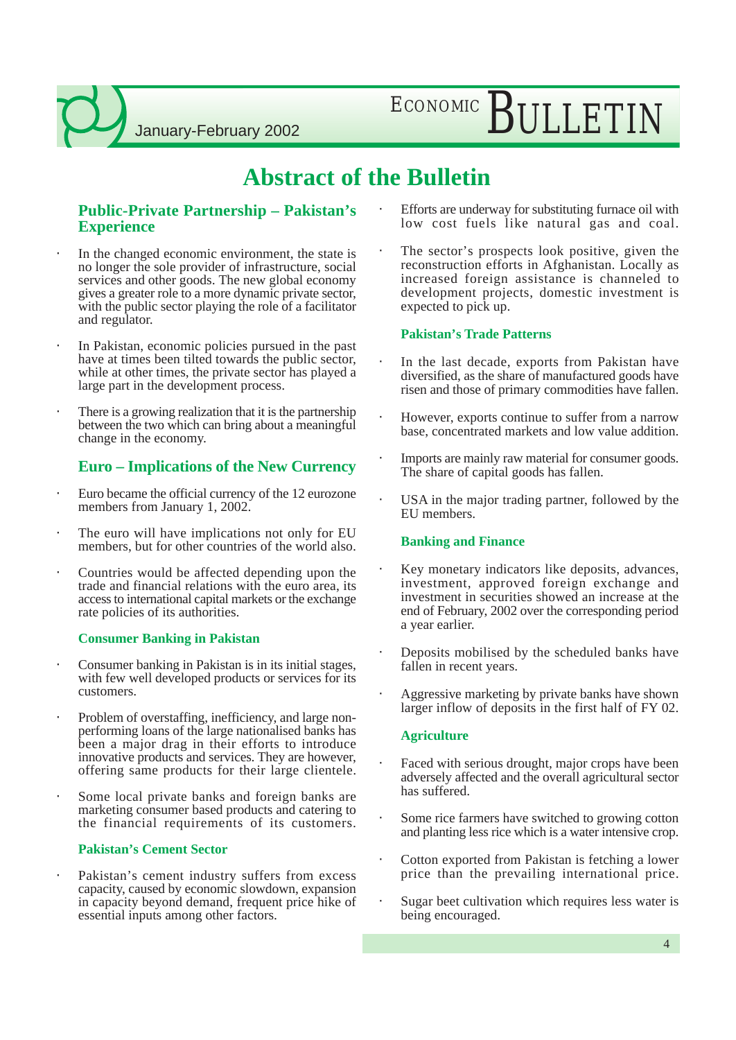ECONOMIC BULLETIN

### **Abstract of the Bulletin**

### **Public-Private Partnership – Pakistan's Experience**

- In the changed economic environment, the state is no longer the sole provider of infrastructure, social services and other goods. The new global economy gives a greater role to a more dynamic private sector, with the public sector playing the role of a facilitator and regulator.
- In Pakistan, economic policies pursued in the past have at times been tilted towards the public sector, while at other times, the private sector has played a large part in the development process.
- There is a growing realization that it is the partnership between the two which can bring about a meaningful change in the economy.

### **Euro – Implications of the New Currency**

- Euro became the official currency of the 12 eurozone members from January 1, 2002.
- The euro will have implications not only for EU members, but for other countries of the world also.
- Countries would be affected depending upon the trade and financial relations with the euro area, its access to international capital markets or the exchange rate policies of its authorities.

#### **Consumer Banking in Pakistan**

- Consumer banking in Pakistan is in its initial stages, with few well developed products or services for its customers.
- Problem of overstaffing, inefficiency, and large nonperforming loans of the large nationalised banks has been a major drag in their efforts to introduce innovative products and services. They are however, offering same products for their large clientele.
- Some local private banks and foreign banks are marketing consumer based products and catering to the financial requirements of its customers.

#### **Pakistan's Cement Sector**

Pakistan's cement industry suffers from excess capacity, caused by economic slowdown, expansion in capacity beyond demand, frequent price hike of essential inputs among other factors.

- Efforts are underway for substituting furnace oil with low cost fuels like natural gas and coal.
- The sector's prospects look positive, given the reconstruction efforts in Afghanistan. Locally as increased foreign assistance is channeled to development projects, domestic investment is expected to pick up.

#### **Pakistan's Trade Patterns**

- In the last decade, exports from Pakistan have diversified, as the share of manufactured goods have risen and those of primary commodities have fallen.
- However, exports continue to suffer from a narrow base, concentrated markets and low value addition.
- Imports are mainly raw material for consumer goods. The share of capital goods has fallen.
- USA in the major trading partner, followed by the EU members.

#### **Banking and Finance**

- Key monetary indicators like deposits, advances, investment, approved foreign exchange and investment in securities showed an increase at the end of February, 2002 over the corresponding period a year earlier.
- Deposits mobilised by the scheduled banks have fallen in recent years.
- Aggressive marketing by private banks have shown larger inflow of deposits in the first half of FY 02.

#### **Agriculture**

- Faced with serious drought, major crops have been adversely affected and the overall agricultural sector has suffered.
- Some rice farmers have switched to growing cotton and planting less rice which is a water intensive crop.
- Cotton exported from Pakistan is fetching a lower price than the prevailing international price.
- Sugar beet cultivation which requires less water is being encouraged.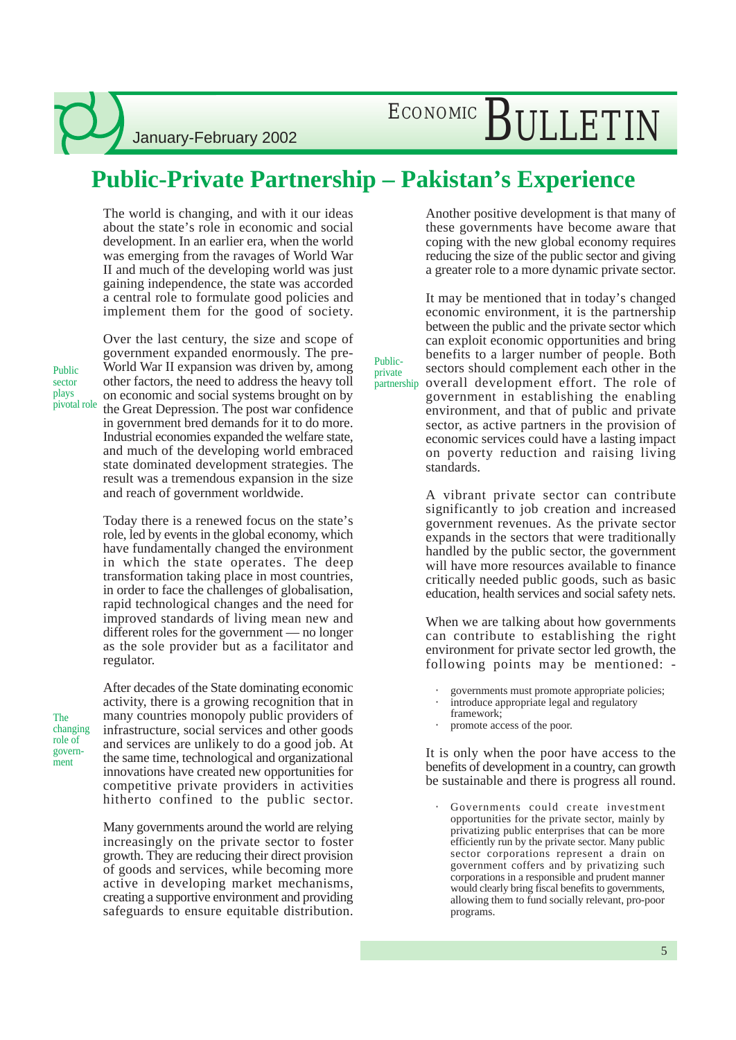# ECONOMIC BULLETIN

## **Public-Private Partnership – Pakistan's Experience**

Publicprivate

The world is changing, and with it our ideas about the state's role in economic and social development. In an earlier era, when the world was emerging from the ravages of World War II and much of the developing world was just gaining independence, the state was accorded a central role to formulate good policies and implement them for the good of society.

Public sector plays pivotal role

The changing role of government

Over the last century, the size and scope of government expanded enormously. The pre-World War II expansion was driven by, among other factors, the need to address the heavy toll on economic and social systems brought on by the Great Depression. The post war confidence in government bred demands for it to do more. Industrial economies expanded the welfare state, and much of the developing world embraced state dominated development strategies. The result was a tremendous expansion in the size and reach of government worldwide.

Today there is a renewed focus on the state's role, led by events in the global economy, which have fundamentally changed the environment in which the state operates. The deep transformation taking place in most countries, in order to face the challenges of globalisation, rapid technological changes and the need for improved standards of living mean new and different roles for the government — no longer as the sole provider but as a facilitator and regulator.

After decades of the State dominating economic activity, there is a growing recognition that in many countries monopoly public providers of infrastructure, social services and other goods and services are unlikely to do a good job. At the same time, technological and organizational innovations have created new opportunities for competitive private providers in activities hitherto confined to the public sector.

Many governments around the world are relying increasingly on the private sector to foster growth. They are reducing their direct provision of goods and services, while becoming more active in developing market mechanisms, creating a supportive environment and providing safeguards to ensure equitable distribution.

Another positive development is that many of these governments have become aware that coping with the new global economy requires reducing the size of the public sector and giving a greater role to a more dynamic private sector.

It may be mentioned that in today's changed economic environment, it is the partnership between the public and the private sector which can exploit economic opportunities and bring benefits to a larger number of people. Both sectors should complement each other in the partnership overall development effort. The role of government in establishing the enabling environment, and that of public and private sector, as active partners in the provision of economic services could have a lasting impact on poverty reduction and raising living standards.

> A vibrant private sector can contribute significantly to job creation and increased government revenues. As the private sector expands in the sectors that were traditionally handled by the public sector, the government will have more resources available to finance critically needed public goods, such as basic education, health services and social safety nets.

> When we are talking about how governments can contribute to establishing the right environment for private sector led growth, the following points may be mentioned: -

- governments must promote appropriate policies;
- introduce appropriate legal and regulatory framework;
- promote access of the poor.

It is only when the poor have access to the benefits of development in a country, can growth be sustainable and there is progress all round.

• Governments could create investment opportunities for the private sector, mainly by privatizing public enterprises that can be more efficiently run by the private sector. Many public sector corporations represent a drain on government coffers and by privatizing such corporations in a responsible and prudent manner would clearly bring fiscal benefits to governments, allowing them to fund socially relevant, pro-poor programs.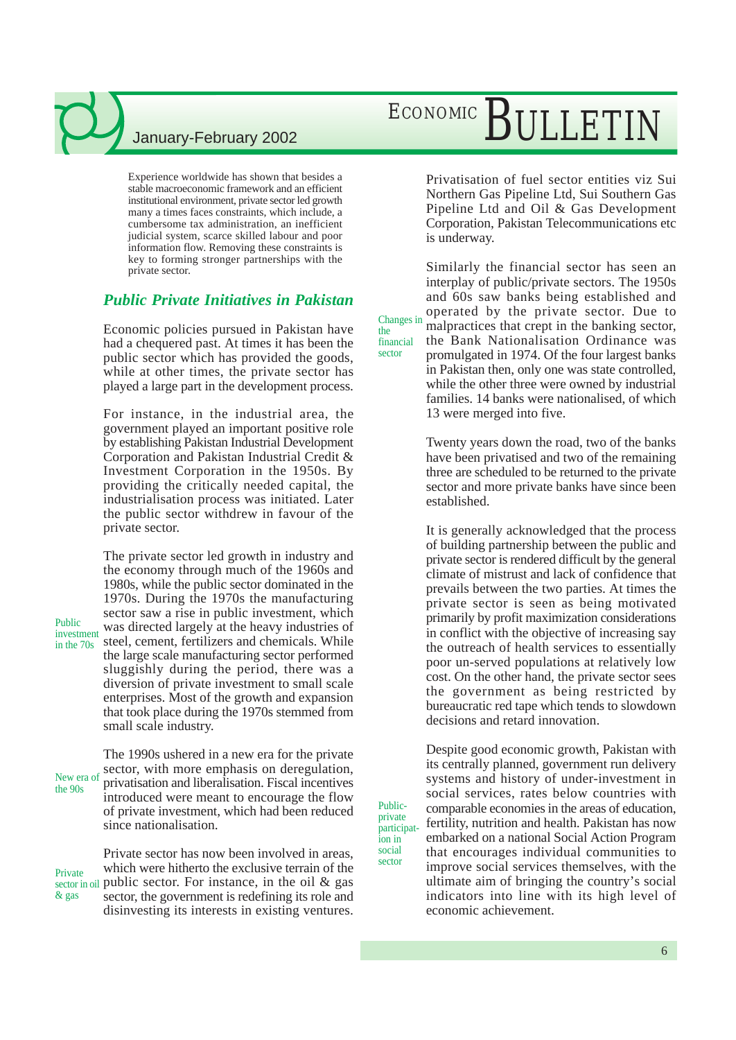Experience worldwide has shown that besides a stable macroeconomic framework and an efficient institutional environment, private sector led growth many a times faces constraints, which include, a cumbersome tax administration, an inefficient judicial system, scarce skilled labour and poor information flow. Removing these constraints is key to forming stronger partnerships with the private sector.

### *Public Private Initiatives in Pakistan*

Economic policies pursued in Pakistan have had a chequered past. At times it has been the public sector which has provided the goods, while at other times, the private sector has played a large part in the development process.

the financial sector

Publicprivate

ion in social sector

For instance, in the industrial area, the government played an important positive role by establishing Pakistan Industrial Development Corporation and Pakistan Industrial Credit & Investment Corporation in the 1950s. By providing the critically needed capital, the industrialisation process was initiated. Later the public sector withdrew in favour of the private sector.

The private sector led growth in industry and the economy through much of the 1960s and 1980s, while the public sector dominated in the 1970s. During the 1970s the manufacturing sector saw a rise in public investment, which was directed largely at the heavy industries of steel, cement, fertilizers and chemicals. While the large scale manufacturing sector performed sluggishly during the period, there was a diversion of private investment to small scale enterprises. Most of the growth and expansion that took place during the 1970s stemmed from small scale industry.

The 1990s ushered in a new era for the private sector, with more emphasis on deregulation, privatisation and liberalisation. Fiscal incentives introduced were meant to encourage the flow of private investment, which had been reduced since nationalisation. New era of the 90s

Private sector has now been involved in areas, which were hitherto the exclusive terrain of the sector in oil public sector. For instance, in the oil  $\&$  gas sector, the government is redefining its role and disinvesting its interests in existing ventures. Private & gas

# ECONOMIC BULLETIN

Privatisation of fuel sector entities viz Sui Northern Gas Pipeline Ltd, Sui Southern Gas Pipeline Ltd and Oil & Gas Development Corporation, Pakistan Telecommunications etc is underway.

Similarly the financial sector has seen an interplay of public/private sectors. The 1950s and 60s saw banks being established and operated by the private sector. Due to malpractices that crept in the banking sector, the Bank Nationalisation Ordinance was Changes in

promulgated in 1974. Of the four largest banks in Pakistan then, only one was state controlled, while the other three were owned by industrial families. 14 banks were nationalised, of which 13 were merged into five.

Twenty years down the road, two of the banks have been privatised and two of the remaining three are scheduled to be returned to the private sector and more private banks have since been established.

It is generally acknowledged that the process of building partnership between the public and private sector is rendered difficult by the general climate of mistrust and lack of confidence that prevails between the two parties. At times the private sector is seen as being motivated primarily by profit maximization considerations in conflict with the objective of increasing say the outreach of health services to essentially poor un-served populations at relatively low cost. On the other hand, the private sector sees the government as being restricted by bureaucratic red tape which tends to slowdown decisions and retard innovation.

Despite good economic growth, Pakistan with its centrally planned, government run delivery systems and history of under-investment in social services, rates below countries with comparable economies in the areas of education, fertility, nutrition and health. Pakistan has now embarked on a national Social Action Program that encourages individual communities to improve social services themselves, with the ultimate aim of bringing the country's social indicators into line with its high level of economic achievement. participat-

Public investment in the 70s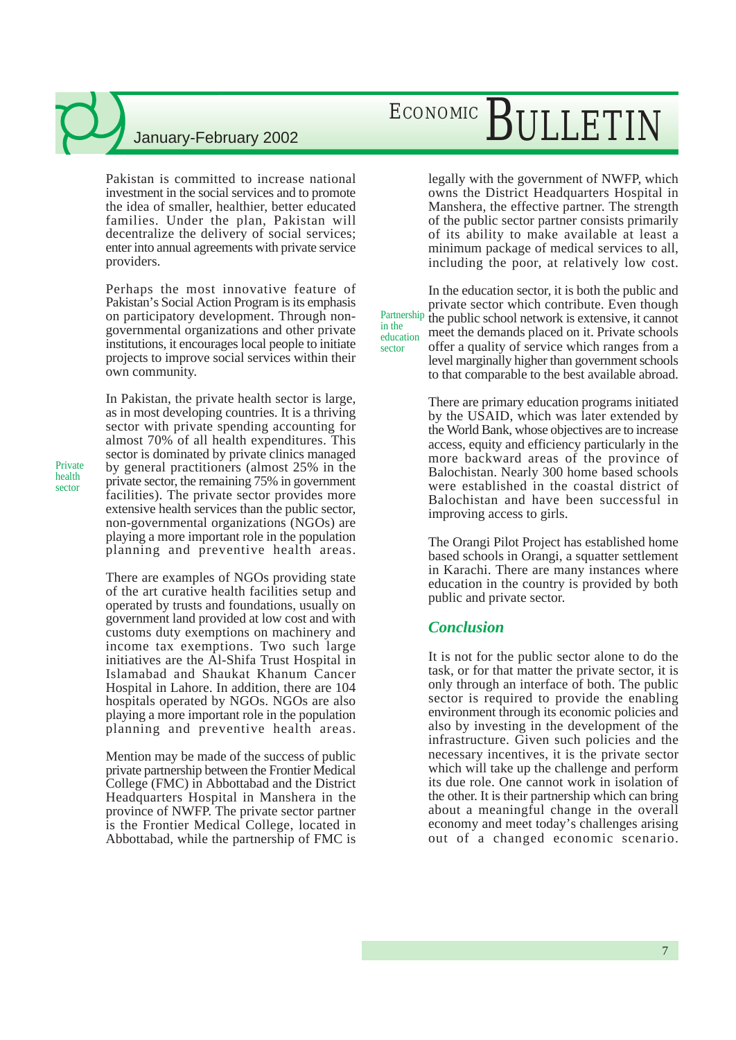Pakistan is committed to increase national investment in the social services and to promote the idea of smaller, healthier, better educated families. Under the plan, Pakistan will decentralize the delivery of social services; enter into annual agreements with private service providers.

Perhaps the most innovative feature of Pakistan's Social Action Program is its emphasis on participatory development. Through nongovernmental organizations and other private institutions, it encourages local people to initiate projects to improve social services within their own community.

In Pakistan, the private health sector is large, as in most developing countries. It is a thriving sector with private spending accounting for almost 70% of all health expenditures. This sector is dominated by private clinics managed by general practitioners (almost 25% in the private sector, the remaining 75% in government facilities). The private sector provides more extensive health services than the public sector, non-governmental organizations (NGOs) are playing a more important role in the population planning and preventive health areas.

There are examples of NGOs providing state of the art curative health facilities setup and operated by trusts and foundations, usually on government land provided at low cost and with customs duty exemptions on machinery and income tax exemptions. Two such large initiatives are the Al-Shifa Trust Hospital in Islamabad and Shaukat Khanum Cancer Hospital in Lahore. In addition, there are 104 hospitals operated by NGOs. NGOs are also playing a more important role in the population planning and preventive health areas.

Mention may be made of the success of public private partnership between the Frontier Medical College (FMC) in Abbottabad and the District Headquarters Hospital in Manshera in the province of NWFP. The private sector partner is the Frontier Medical College, located in Abbottabad, while the partnership of FMC is

# ECONOMIC BULLETIN

legally with the government of NWFP, which owns the District Headquarters Hospital in Manshera, the effective partner. The strength of the public sector partner consists primarily of its ability to make available at least a minimum package of medical services to all, including the poor, at relatively low cost.

In the education sector, it is both the public and private sector which contribute. Even though the public school network is extensive, it cannot meet the demands placed on it. Private schools offer a quality of service which ranges from a level marginally higher than government schools to that comparable to the best available abroad. Partnership education

in the

sector

There are primary education programs initiated by the USAID, which was later extended by the World Bank, whose objectives are to increase access, equity and efficiency particularly in the more backward areas of the province of Balochistan. Nearly 300 home based schools were established in the coastal district of Balochistan and have been successful in improving access to girls.

The Orangi Pilot Project has established home based schools in Orangi, a squatter settlement in Karachi. There are many instances where education in the country is provided by both public and private sector.

### *Conclusion*

It is not for the public sector alone to do the task, or for that matter the private sector, it is only through an interface of both. The public sector is required to provide the enabling environment through its economic policies and also by investing in the development of the infrastructure. Given such policies and the necessary incentives, it is the private sector which will take up the challenge and perform its due role. One cannot work in isolation of the other. It is their partnership which can bring about a meaningful change in the overall economy and meet today's challenges arising out of a changed economic scenario.

Private health sector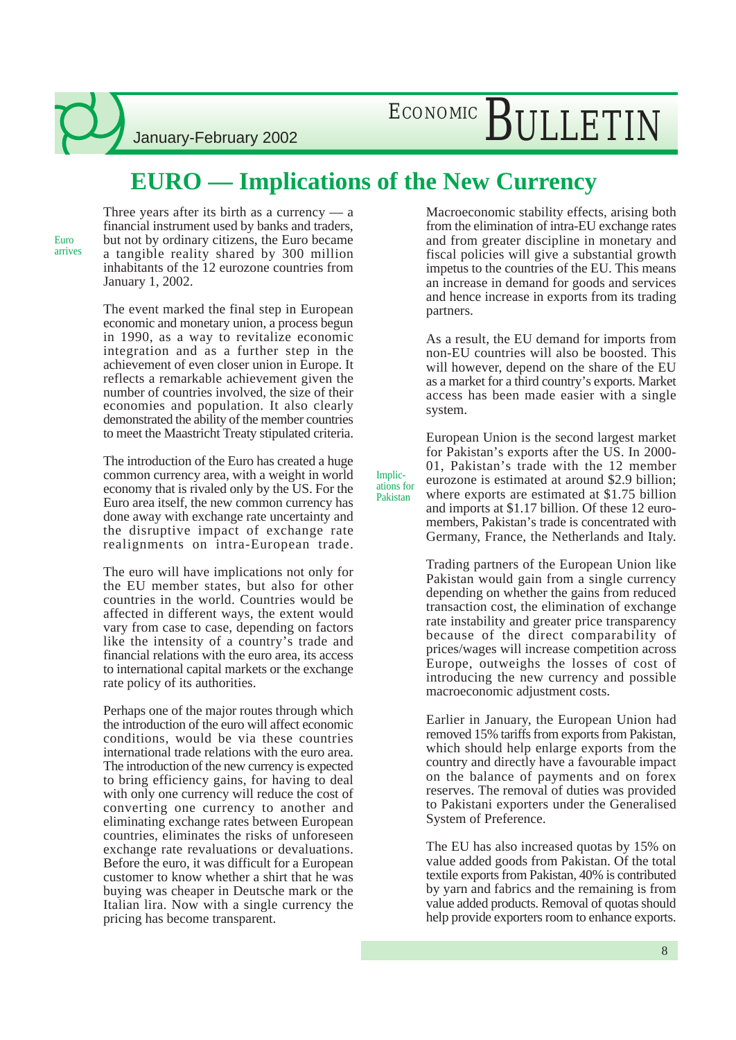ECONOMIC BULLETIN

### **EURO –– Implications of the New Currency**

Implications for Pakistan

Euro arrives Three years after its birth as a currency  $-$  a financial instrument used by banks and traders, but not by ordinary citizens, the Euro became a tangible reality shared by 300 million inhabitants of the 12 eurozone countries from January 1, 2002.

January-February 2002

The event marked the final step in European economic and monetary union, a process begun in 1990, as a way to revitalize economic integration and as a further step in the achievement of even closer union in Europe. It reflects a remarkable achievement given the number of countries involved, the size of their economies and population. It also clearly demonstrated the ability of the member countries to meet the Maastricht Treaty stipulated criteria.

The introduction of the Euro has created a huge common currency area, with a weight in world economy that is rivaled only by the US. For the Euro area itself, the new common currency has done away with exchange rate uncertainty and the disruptive impact of exchange rate realignments on intra-European trade.

The euro will have implications not only for the EU member states, but also for other countries in the world. Countries would be affected in different ways, the extent would vary from case to case, depending on factors like the intensity of a country's trade and financial relations with the euro area, its access to international capital markets or the exchange rate policy of its authorities.

Perhaps one of the major routes through which the introduction of the euro will affect economic conditions, would be via these countries international trade relations with the euro area. The introduction of the new currency is expected to bring efficiency gains, for having to deal with only one currency will reduce the cost of converting one currency to another and eliminating exchange rates between European countries, eliminates the risks of unforeseen exchange rate revaluations or devaluations. Before the euro, it was difficult for a European customer to know whether a shirt that he was buying was cheaper in Deutsche mark or the Italian lira. Now with a single currency the pricing has become transparent.

Macroeconomic stability effects, arising both from the elimination of intra-EU exchange rates and from greater discipline in monetary and fiscal policies will give a substantial growth impetus to the countries of the EU. This means an increase in demand for goods and services and hence increase in exports from its trading partners.

As a result, the EU demand for imports from non-EU countries will also be boosted. This will however, depend on the share of the EU as a market for a third country's exports. Market access has been made easier with a single system.

European Union is the second largest market for Pakistan's exports after the US. In 2000- 01, Pakistan's trade with the 12 member eurozone is estimated at around \$2.9 billion; where exports are estimated at \$1.75 billion and imports at \$1.17 billion. Of these 12 euromembers, Pakistan's trade is concentrated with Germany, France, the Netherlands and Italy.

Trading partners of the European Union like Pakistan would gain from a single currency depending on whether the gains from reduced transaction cost, the elimination of exchange rate instability and greater price transparency because of the direct comparability of prices/wages will increase competition across Europe, outweighs the losses of cost of introducing the new currency and possible macroeconomic adjustment costs.

Earlier in January, the European Union had removed 15% tariffs from exports from Pakistan, which should help enlarge exports from the country and directly have a favourable impact on the balance of payments and on forex reserves. The removal of duties was provided to Pakistani exporters under the Generalised System of Preference.

The EU has also increased quotas by 15% on value added goods from Pakistan. Of the total textile exports from Pakistan, 40% is contributed by yarn and fabrics and the remaining is from value added products. Removal of quotas should help provide exporters room to enhance exports.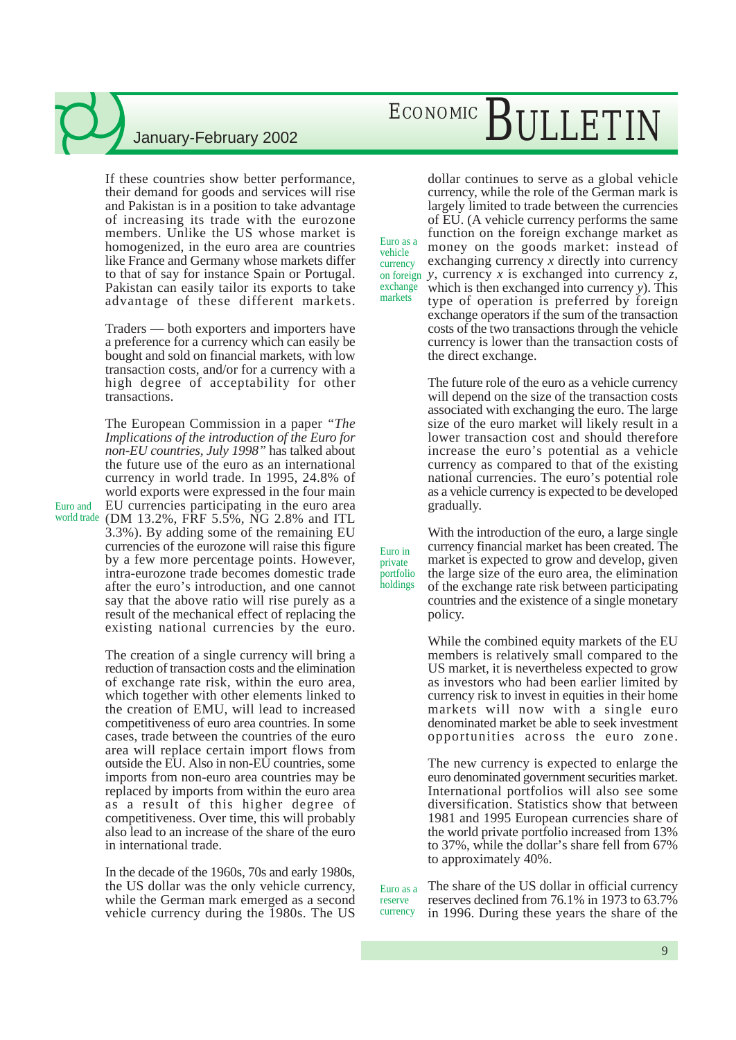If these countries show better performance, their demand for goods and services will rise and Pakistan is in a position to take advantage of increasing its trade with the eurozone members. Unlike the US whose market is homogenized, in the euro area are countries like France and Germany whose markets differ to that of say for instance Spain or Portugal. Pakistan can easily tailor its exports to take advantage of these different markets.

Traders –– both exporters and importers have a preference for a currency which can easily be bought and sold on financial markets, with low transaction costs, and/or for a currency with a high degree of acceptability for other transactions.

The European Commission in a paper *"The Implications of the introduction of the Euro for non-EU countries, July 1998"* has talked about the future use of the euro as an international currency in world trade. In 1995, 24.8% of world exports were expressed in the four main EU currencies participating in the euro area (DM 13.2%, FRF 5.5%, NG 2.8% and ITL world trade 3.3%). By adding some of the remaining EU currencies of the eurozone will raise this figure by a few more percentage points. However, intra-eurozone trade becomes domestic trade after the euro's introduction, and one cannot say that the above ratio will rise purely as a result of the mechanical effect of replacing the existing national currencies by the euro.

Euro and

The creation of a single currency will bring a reduction of transaction costs and the elimination of exchange rate risk, within the euro area, which together with other elements linked to the creation of EMU, will lead to increased competitiveness of euro area countries. In some cases, trade between the countries of the euro area will replace certain import flows from outside the EU. Also in non-EU countries, some imports from non-euro area countries may be replaced by imports from within the euro area as a result of this higher degree of competitiveness. Over time, this will probably also lead to an increase of the share of the euro in international trade.

In the decade of the 1960s, 70s and early 1980s, the US dollar was the only vehicle currency, while the German mark emerged as a second vehicle currency during the 1980s. The US

# ECONOMIC BULLETIN

dollar continues to serve as a global vehicle currency, while the role of the German mark is largely limited to trade between the currencies of EU. (A vehicle currency performs the same function on the foreign exchange market as money on the goods market: instead of exchanging currency *x* directly into currency on foreign *y*, currency *x* is exchanged into currency *z*, which is then exchanged into currency *y*). This type of operation is preferred by foreign exchange operators if the sum of the transaction costs of the two transactions through the vehicle currency is lower than the transaction costs of the direct exchange. Euro as a exchange

vehicle currency

markets

Euro in private portfolio holdings

The future role of the euro as a vehicle currency will depend on the size of the transaction costs associated with exchanging the euro. The large size of the euro market will likely result in a lower transaction cost and should therefore increase the euro's potential as a vehicle currency as compared to that of the existing national currencies. The euro's potential role as a vehicle currency is expected to be developed gradually.

With the introduction of the euro, a large single currency financial market has been created. The market is expected to grow and develop, given the large size of the euro area, the elimination of the exchange rate risk between participating countries and the existence of a single monetary policy.

While the combined equity markets of the EU members is relatively small compared to the US market, it is nevertheless expected to grow as investors who had been earlier limited by currency risk to invest in equities in their home markets will now with a single euro denominated market be able to seek investment opportunities across the euro zone.

The new currency is expected to enlarge the euro denominated government securities market. International portfolios will also see some diversification. Statistics show that between 1981 and 1995 European currencies share of the world private portfolio increased from 13% to 37%, while the dollar's share fell from 67% to approximately 40%.

The share of the US dollar in official currency reserves declined from 76.1% in 1973 to 63.7% in 1996. During these years the share of the Euro as a reserve currency

9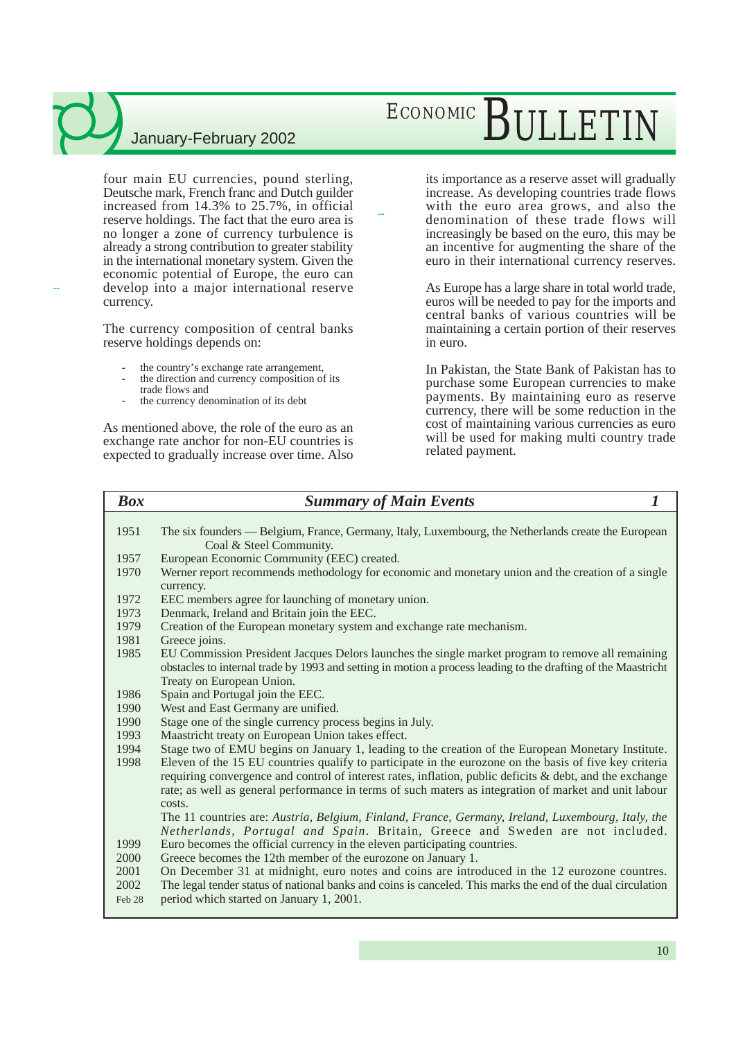four main EU currencies, pound sterling, Deutsche mark, French franc and Dutch guilder increased from 14.3% to 25.7%, in official reserve holdings. The fact that the euro area is no longer a zone of currency turbulence is already a strong contribution to greater stability in the international monetary system. Given the economic potential of Europe, the euro can develop into a major international reserve currency.

The currency composition of central banks reserve holdings depends on:

- the country's exchange rate arrangement,
- the direction and currency composition of its trade flows and
- the currency denomination of its debt

--

As mentioned above, the role of the euro as an exchange rate anchor for non-EU countries is expected to gradually increase over time. Also

# ECONOMIC BULLETIN

its importance as a reserve asset will gradually increase. As developing countries trade flows with the euro area grows, and also the denomination of these trade flows will increasingly be based on the euro, this may be an incentive for augmenting the share of the euro in their international currency reserves.

As Europe has a large share in total world trade, euros will be needed to pay for the imports and central banks of various countries will be maintaining a certain portion of their reserves in euro.

In Pakistan, the State Bank of Pakistan has to purchase some European currencies to make payments. By maintaining euro as reserve currency, there will be some reduction in the cost of maintaining various currencies as euro will be used for making multi country trade related payment.

#### *Box Summary of Main Events 1*

--

1951 The six founders –– Belgium, France, Germany, Italy, Luxembourg, the Netherlands create the European Coal & Steel Community.

- 1957 European Economic Community (EEC) created.
- 1970 Werner report recommends methodology for economic and monetary union and the creation of a single currency.
- 1972 EEC members agree for launching of monetary union.
- 1973 Denmark, Ireland and Britain join the EEC.
- 1979 Creation of the European monetary system and exchange rate mechanism.
- 1981 Greece joins.
- 1985 EU Commission President Jacques Delors launches the single market program to remove all remaining obstacles to internal trade by 1993 and setting in motion a process leading to the drafting of the Maastricht Treaty on European Union.
- 1986 Spain and Portugal join the EEC.
- 1990 West and East Germany are unified.
- 1990 Stage one of the single currency process begins in July.
- 1993 Maastricht treaty on European Union takes effect.
- 1994 Stage two of EMU begins on January 1, leading to the creation of the European Monetary Institute.
- 1998 Eleven of the 15 EU countries qualify to participate in the eurozone on the basis of five key criteria requiring convergence and control of interest rates, inflation, public deficits & debt, and the exchange rate; as well as general performance in terms of such maters as integration of market and unit labour costs.

The 11 countries are: *Austria, Belgium, Finland, France, Germany, Ireland, Luxembourg, Italy, the Netherlands, Portugal and Spain*. Britain, Greece and Sweden are not included.

- 1999 Euro becomes the official currency in the eleven participating countries.
- 2000 Greece becomes the 12th member of the eurozone on January 1.
- 2001 On December 31 at midnight, euro notes and coins are introduced in the 12 eurozone countres. 2002 The legal tender status of national banks and coins is canceled. This marks the end of the dual circulation
- Feb 28 period which started on January 1, 2001.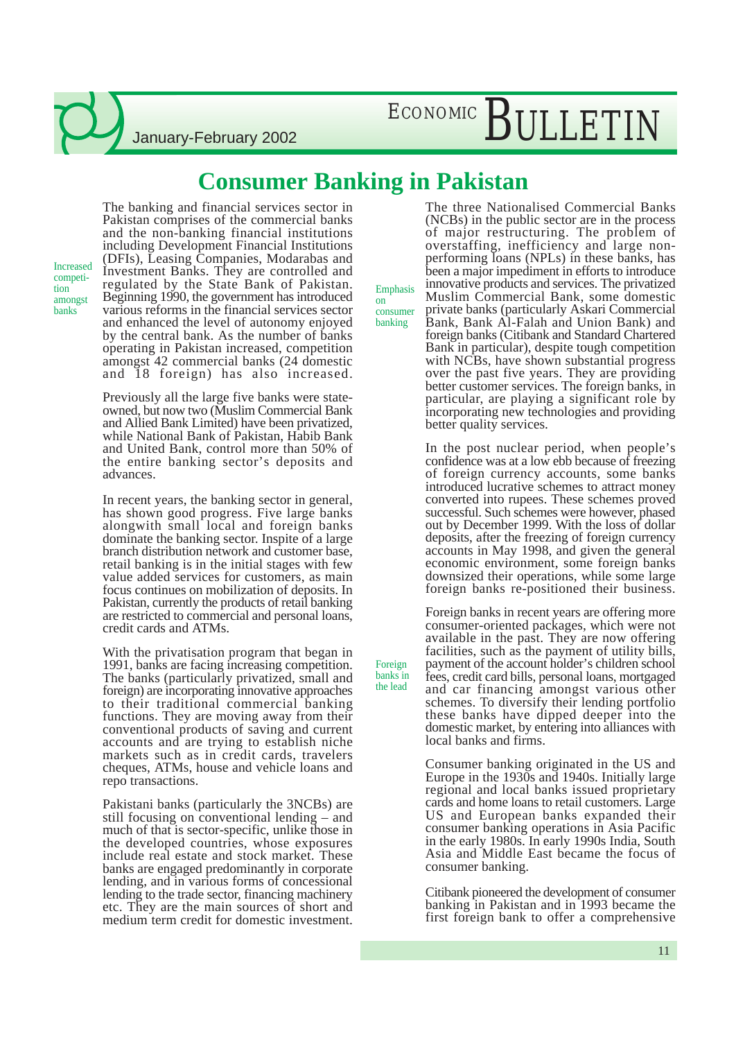ECONOMIC BULLETIN

### January-February 2002

### **Consumer Banking in Pakistan**

Emphasis on consumer banking

Foreign banks in the lead

The banking and financial services sector in Pakistan comprises of the commercial banks and the non-banking financial institutions including Development Financial Institutions (DFIs), Leasing Companies, Modarabas and Investment Banks. They are controlled and regulated by the State Bank of Pakistan. Beginning 1990, the government has introduced various reforms in the financial services sector and enhanced the level of autonomy enjoyed by the central bank. As the number of banks operating in Pakistan increased, competition amongst 42 commercial banks (24 domestic and 18 foreign) has also increased.

Increased competition amongst banks

> Previously all the large five banks were stateowned, but now two (Muslim Commercial Bank and Allied Bank Limited) have been privatized, while National Bank of Pakistan, Habib Bank and United Bank, control more than 50% of the entire banking sector's deposits and advances.

> In recent years, the banking sector in general, has shown good progress. Five large banks alongwith small local and foreign banks dominate the banking sector. Inspite of a large branch distribution network and customer base, retail banking is in the initial stages with few value added services for customers, as main focus continues on mobilization of deposits. In Pakistan, currently the products of retail banking are restricted to commercial and personal loans, credit cards and ATMs.

> With the privatisation program that began in 1991, banks are facing increasing competition. The banks (particularly privatized, small and foreign) are incorporating innovative approaches to their traditional commercial banking functions. They are moving away from their conventional products of saving and current accounts and are trying to establish niche markets such as in credit cards, travelers cheques, ATMs, house and vehicle loans and repo transactions.

> Pakistani banks (particularly the 3NCBs) are still focusing on conventional lending – and much of that is sector-specific, unlike those in the developed countries, whose exposures include real estate and stock market. These banks are engaged predominantly in corporate lending, and in various forms of concessional lending to the trade sector, financing machinery etc. They are the main sources of short and medium term credit for domestic investment.

The three Nationalised Commercial Banks (NCBs) in the public sector are in the process of major restructuring. The problem of overstaffing, inefficiency and large nonperforming loans (NPLs) in these banks, has been a major impediment in efforts to introduce innovative products and services. The privatized Muslim Commercial Bank, some domestic private banks (particularly Askari Commercial Bank, Bank Al-Falah and Union Bank) and foreign banks (Citibank and Standard Chartered Bank in particular), despite tough competition with NCBs, have shown substantial progress over the past five years. They are providing better customer services. The foreign banks, in particular, are playing a significant role by incorporating new technologies and providing better quality services.

In the post nuclear period, when people's confidence was at a low ebb because of freezing of foreign currency accounts, some banks introduced lucrative schemes to attract money converted into rupees. These schemes proved successful. Such schemes were however, phased out by December 1999. With the loss of dollar deposits, after the freezing of foreign currency accounts in May 1998, and given the general economic environment, some foreign banks downsized their operations, while some large foreign banks re-positioned their business.

Foreign banks in recent years are offering more consumer-oriented packages, which were not available in the past. They are now offering facilities, such as the payment of utility bills, payment of the account holder's children school fees, credit card bills, personal loans, mortgaged and car financing amongst various other schemes. To diversify their lending portfolio these banks have dipped deeper into the domestic market, by entering into alliances with local banks and firms.

Consumer banking originated in the US and Europe in the 1930s and 1940s. Initially large regional and local banks issued proprietary cards and home loans to retail customers. Large US and European banks expanded their consumer banking operations in Asia Pacific in the early 1980s. In early 1990s India, South Asia and Middle East became the focus of consumer banking.

Citibank pioneered the development of consumer banking in Pakistan and in 1993 became the first foreign bank to offer a comprehensive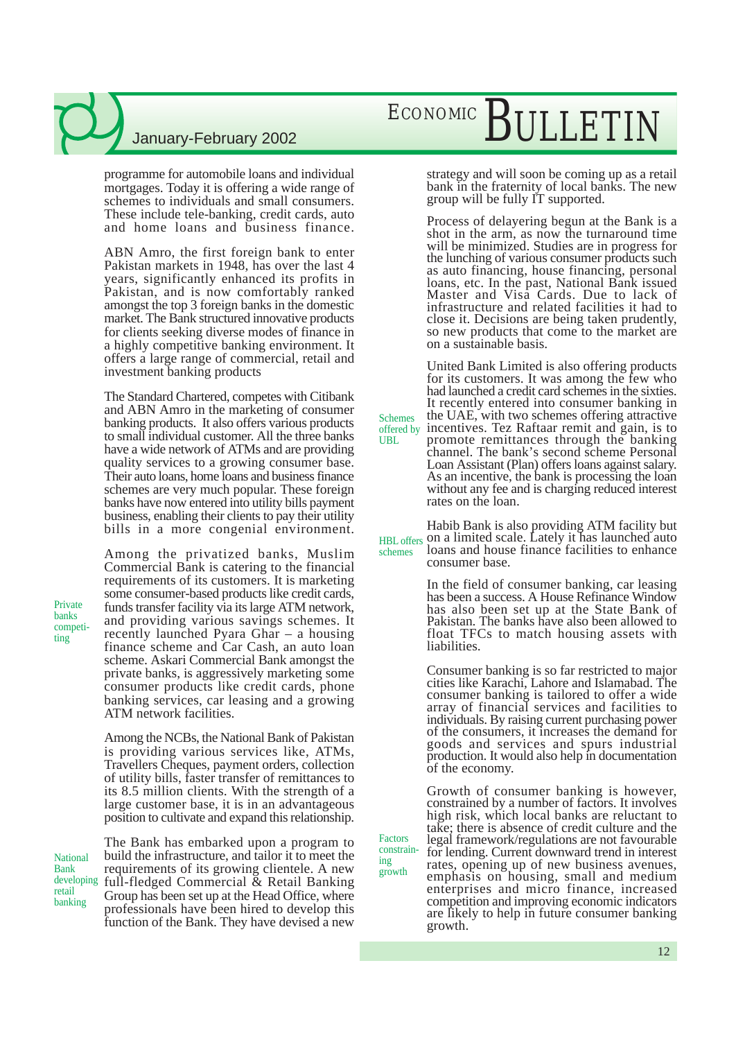programme for automobile loans and individual mortgages. Today it is offering a wide range of schemes to individuals and small consumers. These include tele-banking, credit cards, auto and home loans and business finance.

ABN Amro, the first foreign bank to enter Pakistan markets in 1948, has over the last 4 years, significantly enhanced its profits in Pakistan, and is now comfortably ranked amongst the top 3 foreign banks in the domestic market. The Bank structured innovative products for clients seeking diverse modes of finance in a highly competitive banking environment. It offers a large range of commercial, retail and investment banking products

The Standard Chartered, competes with Citibank and ABN Amro in the marketing of consumer banking products. It also offers various products to small individual customer. All the three banks have a wide network of ATMs and are providing quality services to a growing consumer base. Their auto loans, home loans and business finance schemes are very much popular. These foreign banks have now entered into utility bills payment business, enabling their clients to pay their utility bills in a more congenial environment.

Among the privatized banks, Muslim Commercial Bank is catering to the financial requirements of its customers. It is marketing some consumer-based products like credit cards, funds transfer facility via its large ATM network, and providing various savings schemes. It recently launched Pyara Ghar – a housing finance scheme and Car Cash, an auto loan scheme. Askari Commercial Bank amongst the private banks, is aggressively marketing some consumer products like credit cards, phone banking services, car leasing and a growing ATM network facilities.

Among the NCBs, the National Bank of Pakistan is providing various services like, ATMs, Travellers Cheques, payment orders, collection of utility bills, faster transfer of remittances to its 8.5 million clients. With the strength of a large customer base, it is in an advantageous position to cultivate and expand this relationship.

National Bank developing retail banking

Private banks competiting

> The Bank has embarked upon a program to build the infrastructure, and tailor it to meet the requirements of its growing clientele. A new full-fledged Commercial & Retail Banking Group has been set up at the Head Office, where professionals have been hired to develop this function of the Bank. They have devised a new

# ECONOMIC BULLETIN

strategy and will soon be coming up as a retail bank in the fraternity of local banks. The new group will be fully IT supported.

Process of delayering begun at the Bank is a shot in the arm, as now the turnaround time will be minimized. Studies are in progress for the lunching of various consumer products such as auto financing, house financing, personal loans, etc. In the past, National Bank issued Master and Visa Cards. Due to lack of infrastructure and related facilities it had to close it. Decisions are being taken prudently, so new products that come to the market are on a sustainable basis.

United Bank Limited is also offering products for its customers. It was among the few who had launched a credit card schemes in the sixties. It recently entered into consumer banking in the UAE, with two schemes offering attractive incentives. Tez Raftaar remit and gain, is to promote remittances through the banking channel. The bank's second scheme Personal Loan Assistant (Plan) offers loans against salary. As an incentive, the bank is processing the loan without any fee and is charging reduced interest rates on the loan. offered by

Habib Bank is also providing ATM facility but HBL offers on a limited scale. Lately it has launched auto loans and house finance facilities to enhance consumer base. schemes

> In the field of consumer banking, car leasing has been a success. A House Refinance Window has also been set up at the State Bank of Pakistan. The banks have also been allowed to float TFCs to match housing assets with liabilities.

> Consumer banking is so far restricted to major cities like Karachi, Lahore and Islamabad. The consumer banking is tailored to offer a wide array of financial services and facilities to individuals. By raising current purchasing power of the consumers, it increases the demand for goods and services and spurs industrial production. It would also help in documentation of the economy.

Growth of consumer banking is however, constrained by a number of factors. It involves high risk, which local banks are reluctant to take; there is absence of credit culture and the legal framework/regulations are not favourable for lending. Current downward trend in interest rates, opening up of new business avenues, emphasis on housing, small and medium enterprises and micro finance, increased competition and improving economic indicators are likely to help in future consumer banking growth.

Factors constraining growth

Schemes

UBL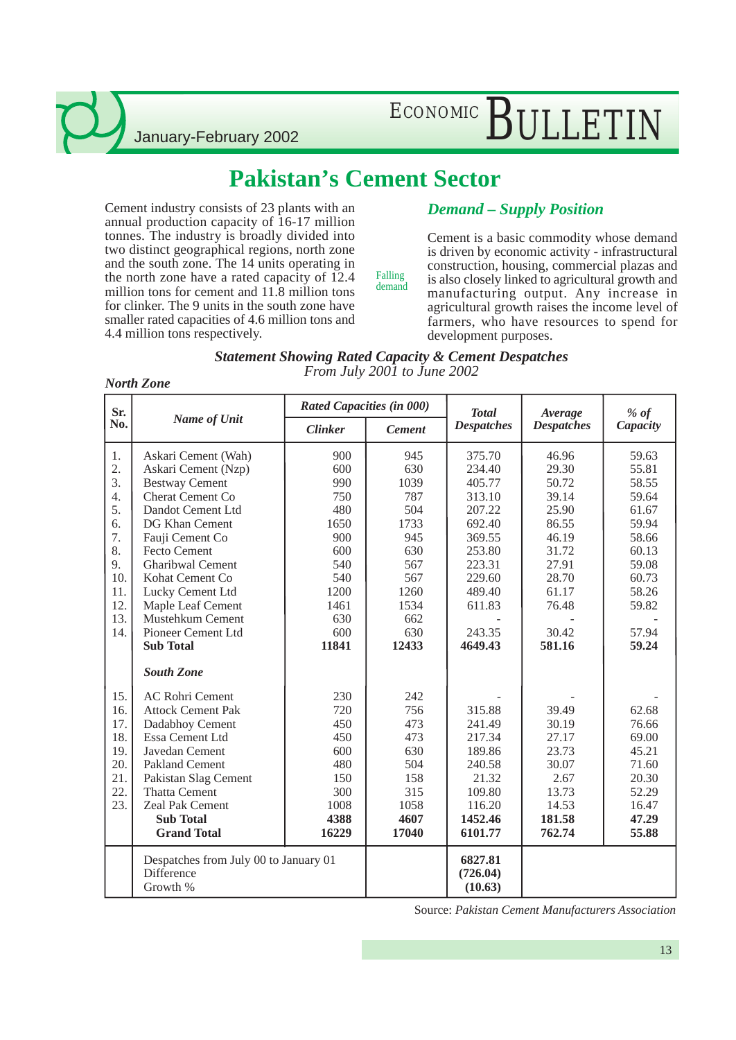# ECONOMIC BULLETIN

### **Pakistan's Cement Sector**

Cement industry consists of 23 plants with an annual production capacity of 16-17 million tonnes. The industry is broadly divided into two distinct geographical regions, north zone and the south zone. The 14 units operating in the north zone have a rated capacity of 12.4 million tons for cement and 11.8 million tons for clinker. The 9 units in the south zone have smaller rated capacities of 4.6 million tons and 4.4 million tons respectively.

### *Demand – Supply Position*

Cement is a basic commodity whose demand is driven by economic activity - infrastructural construction, housing, commercial plazas and is also closely linked to agricultural growth and manufacturing output. Any increase in agricultural growth raises the income level of farmers, who have resources to spend for development purposes.

| Statement Showing Rated Capacity & Cement Despatches |  |
|------------------------------------------------------|--|
| From July 2001 to June 2002                          |  |

Falling demand

#### *North Zone*

| Sr.                                                         |                                                                                                                                                                                                                                                  | Rated Capacities (in 000)                                                     |                                                                               | <b>Total</b>                                                                                      | Average                                                                                 | $%$ of                                                                                 |  |
|-------------------------------------------------------------|--------------------------------------------------------------------------------------------------------------------------------------------------------------------------------------------------------------------------------------------------|-------------------------------------------------------------------------------|-------------------------------------------------------------------------------|---------------------------------------------------------------------------------------------------|-----------------------------------------------------------------------------------------|----------------------------------------------------------------------------------------|--|
| No.                                                         | Name of Unit                                                                                                                                                                                                                                     | Clinker                                                                       | Cement                                                                        | Despatches                                                                                        | Despatches                                                                              | Capacity                                                                               |  |
| 1.<br>2.<br>3.<br>4.<br>5.<br>6.<br>7.<br>8.                | Askari Cement (Wah)<br>Askari Cement (Nzp)<br><b>Bestway Cement</b><br><b>Cherat Cement Co</b><br>Dandot Cement Ltd<br>DG Khan Cement<br>Fauji Cement Co<br><b>Fecto Cement</b>                                                                  | 900<br>600<br>990<br>750<br>480<br>1650<br>900<br>600                         | 945<br>630<br>1039<br>787<br>504<br>1733<br>945<br>630                        | 375.70<br>234.40<br>405.77<br>313.10<br>207.22<br>692.40<br>369.55<br>253.80                      | 46.96<br>29.30<br>50.72<br>39.14<br>25.90<br>86.55<br>46.19<br>31.72                    | 59.63<br>55.81<br>58.55<br>59.64<br>61.67<br>59.94<br>58.66<br>60.13                   |  |
| 9.<br>10.<br>11.<br>12.<br>13.<br>14.                       | <b>Gharibwal Cement</b><br>Kohat Cement Co<br>Lucky Cement Ltd<br>Maple Leaf Cement<br>Mustehkum Cement<br>Pioneer Cement Ltd<br><b>Sub Total</b><br>South Zone                                                                                  | 540<br>540<br>1200<br>1461<br>630<br>600<br>11841                             | 567<br>567<br>1260<br>1534<br>662<br>630<br>12433                             | 223.31<br>229.60<br>489.40<br>611.83<br>243.35<br>4649.43                                         | 27.91<br>28.70<br>61.17<br>76.48<br>30.42<br>581.16                                     | 59.08<br>60.73<br>58.26<br>59.82<br>57.94<br>59.24                                     |  |
| 15.<br>16.<br>17.<br>18.<br>19.<br>20.<br>21.<br>22.<br>23. | <b>AC Rohri Cement</b><br><b>Attock Cement Pak</b><br>Dadabhoy Cement<br>Essa Cement Ltd<br>Javedan Cement<br><b>Pakland Cement</b><br>Pakistan Slag Cement<br><b>Thatta Cement</b><br>Zeal Pak Cement<br><b>Sub Total</b><br><b>Grand Total</b> | 230<br>720<br>450<br>450<br>600<br>480<br>150<br>300<br>1008<br>4388<br>16229 | 242<br>756<br>473<br>473<br>630<br>504<br>158<br>315<br>1058<br>4607<br>17040 | 315.88<br>241.49<br>217.34<br>189.86<br>240.58<br>21.32<br>109.80<br>116.20<br>1452.46<br>6101.77 | 39.49<br>30.19<br>27.17<br>23.73<br>30.07<br>2.67<br>13.73<br>14.53<br>181.58<br>762.74 | 62.68<br>76.66<br>69.00<br>45.21<br>71.60<br>20.30<br>52.29<br>16.47<br>47.29<br>55.88 |  |
|                                                             | Despatches from July 00 to January 01<br>Difference<br>Growth %                                                                                                                                                                                  |                                                                               |                                                                               | 6827.81<br>(726.04)<br>(10.63)                                                                    |                                                                                         |                                                                                        |  |

Source: *Pakistan Cement Manufacturers Association*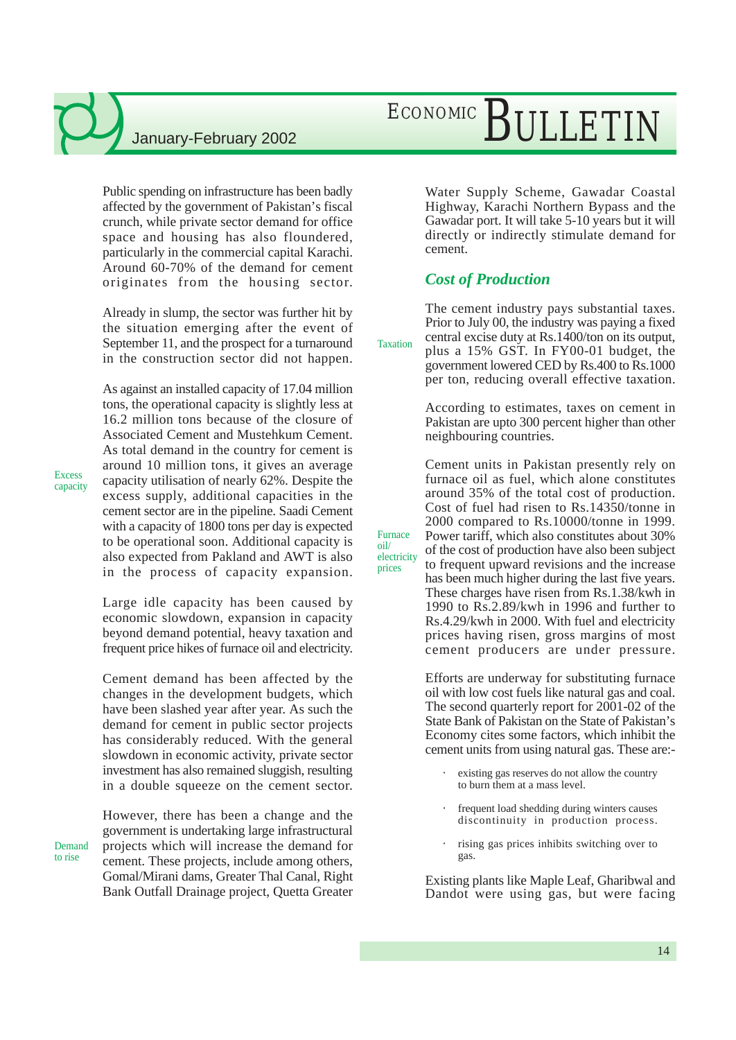Public spending on infrastructure has been badly affected by the government of Pakistan's fiscal crunch, while private sector demand for office space and housing has also floundered, particularly in the commercial capital Karachi. Around 60-70% of the demand for cement originates from the housing sector.

Already in slump, the sector was further hit by the situation emerging after the event of September 11, and the prospect for a turnaround in the construction sector did not happen.

As against an installed capacity of 17.04 million tons, the operational capacity is slightly less at 16.2 million tons because of the closure of Associated Cement and Mustehkum Cement. As total demand in the country for cement is around 10 million tons, it gives an average capacity utilisation of nearly 62%. Despite the excess supply, additional capacities in the cement sector are in the pipeline. Saadi Cement with a capacity of 1800 tons per day is expected to be operational soon. Additional capacity is also expected from Pakland and AWT is also in the process of capacity expansion.

Large idle capacity has been caused by economic slowdown, expansion in capacity beyond demand potential, heavy taxation and frequent price hikes of furnace oil and electricity.

Cement demand has been affected by the changes in the development budgets, which have been slashed year after year. As such the demand for cement in public sector projects has considerably reduced. With the general slowdown in economic activity, private sector investment has also remained sluggish, resulting in a double squeeze on the cement sector.

However, there has been a change and the government is undertaking large infrastructural projects which will increase the demand for cement. These projects, include among others, Gomal/Mirani dams, Greater Thal Canal, Right Bank Outfall Drainage project, Quetta Greater

# ECONOMIC BULLETIN

Water Supply Scheme, Gawadar Coastal Highway, Karachi Northern Bypass and the Gawadar port. It will take 5-10 years but it will directly or indirectly stimulate demand for cement.

#### *Cost of Production*

Furnace oil/ electricity prices

The cement industry pays substantial taxes. Prior to July 00, the industry was paying a fixed central excise duty at Rs.1400/ton on its output,

plus a 15% GST. In FY00-01 budget, the government lowered CED by Rs.400 to Rs.1000 per ton, reducing overall effective taxation. Taxation

> According to estimates, taxes on cement in Pakistan are upto 300 percent higher than other neighbouring countries.

> Cement units in Pakistan presently rely on furnace oil as fuel, which alone constitutes around 35% of the total cost of production. Cost of fuel had risen to Rs.14350/tonne in 2000 compared to Rs.10000/tonne in 1999. Power tariff, which also constitutes about 30% of the cost of production have also been subject to frequent upward revisions and the increase has been much higher during the last five years. These charges have risen from Rs.1.38/kwh in

> 1990 to Rs.2.89/kwh in 1996 and further to Rs.4.29/kwh in 2000. With fuel and electricity prices having risen, gross margins of most cement producers are under pressure.

> Efforts are underway for substituting furnace oil with low cost fuels like natural gas and coal. The second quarterly report for 2001-02 of the State Bank of Pakistan on the State of Pakistan's Economy cites some factors, which inhibit the cement units from using natural gas. These are:-

- existing gas reserves do not allow the country to burn them at a mass level.
- frequent load shedding during winters causes discontinuity in production process.
- rising gas prices inhibits switching over to gas.

Existing plants like Maple Leaf, Gharibwal and Dandot were using gas, but were facing

Excess capacity

Demand to rise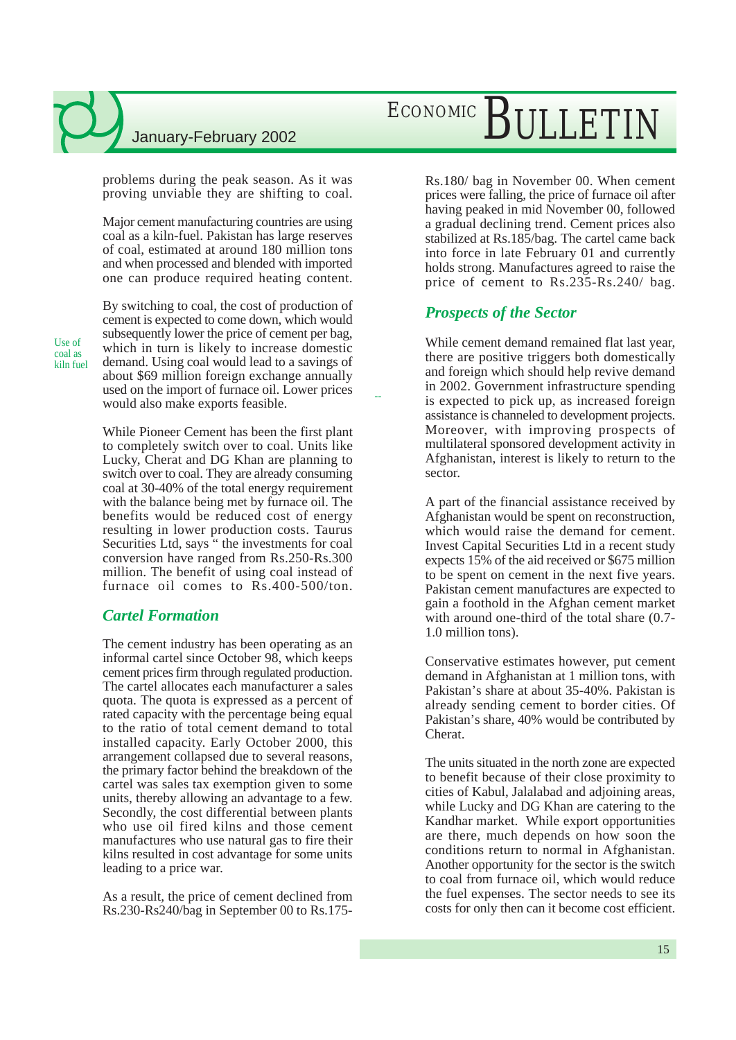problems during the peak season. As it was proving unviable they are shifting to coal.

Major cement manufacturing countries are using coal as a kiln-fuel. Pakistan has large reserves of coal, estimated at around 180 million tons and when processed and blended with imported one can produce required heating content.

Use of coal as kiln fuel By switching to coal, the cost of production of cement is expected to come down, which would subsequently lower the price of cement per bag, which in turn is likely to increase domestic demand. Using coal would lead to a savings of about \$69 million foreign exchange annually used on the import of furnace oil. Lower prices would also make exports feasible.

While Pioneer Cement has been the first plant to completely switch over to coal. Units like Lucky, Cherat and DG Khan are planning to switch over to coal. They are already consuming coal at 30-40% of the total energy requirement with the balance being met by furnace oil. The benefits would be reduced cost of energy resulting in lower production costs. Taurus Securities Ltd, says " the investments for coal conversion have ranged from Rs.250-Rs.300 million. The benefit of using coal instead of furnace oil comes to Rs.400-500/ton.

### *Cartel Formation*

The cement industry has been operating as an informal cartel since October 98, which keeps cement prices firm through regulated production. The cartel allocates each manufacturer a sales quota. The quota is expressed as a percent of rated capacity with the percentage being equal to the ratio of total cement demand to total installed capacity. Early October 2000, this arrangement collapsed due to several reasons, the primary factor behind the breakdown of the cartel was sales tax exemption given to some units, thereby allowing an advantage to a few. Secondly, the cost differential between plants who use oil fired kilns and those cement manufactures who use natural gas to fire their kilns resulted in cost advantage for some units leading to a price war.

As a result, the price of cement declined from Rs.230-Rs240/bag in September 00 to Rs.175-

# ECONOMIC BULLETIN

Rs.180/ bag in November 00. When cement prices were falling, the price of furnace oil after having peaked in mid November 00, followed a gradual declining trend. Cement prices also stabilized at Rs.185/bag. The cartel came back into force in late February 01 and currently holds strong. Manufactures agreed to raise the price of cement to Rs.235-Rs.240/ bag.

### *Prospects of the Sector*

--

While cement demand remained flat last year, there are positive triggers both domestically and foreign which should help revive demand in 2002. Government infrastructure spending is expected to pick up, as increased foreign assistance is channeled to development projects. Moreover, with improving prospects of multilateral sponsored development activity in Afghanistan, interest is likely to return to the sector.

A part of the financial assistance received by Afghanistan would be spent on reconstruction, which would raise the demand for cement. Invest Capital Securities Ltd in a recent study expects 15% of the aid received or \$675 million to be spent on cement in the next five years. Pakistan cement manufactures are expected to gain a foothold in the Afghan cement market with around one-third of the total share (0.7- 1.0 million tons).

Conservative estimates however, put cement demand in Afghanistan at 1 million tons, with Pakistan's share at about 35-40%. Pakistan is already sending cement to border cities. Of Pakistan's share, 40% would be contributed by Cherat.

The units situated in the north zone are expected to benefit because of their close proximity to cities of Kabul, Jalalabad and adjoining areas, while Lucky and DG Khan are catering to the Kandhar market. While export opportunities are there, much depends on how soon the conditions return to normal in Afghanistan. Another opportunity for the sector is the switch to coal from furnace oil, which would reduce the fuel expenses. The sector needs to see its costs for only then can it become cost efficient.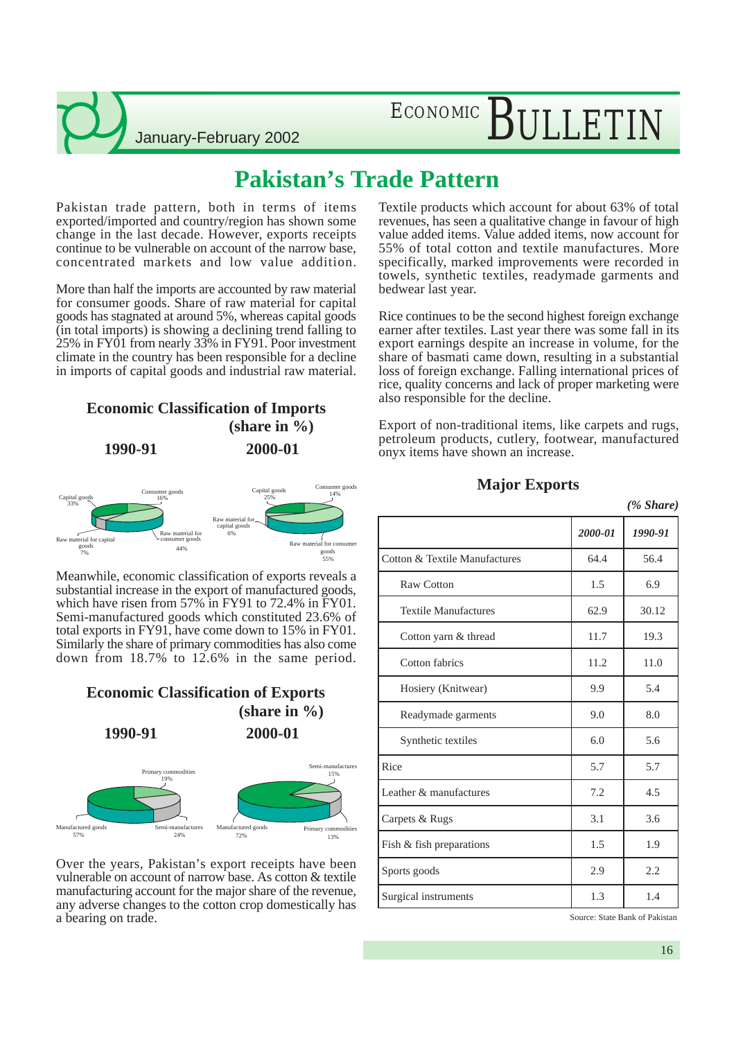# ECONOMIC RIII F

## **Pakistan's Trade Pattern**

Pakistan trade pattern, both in terms of items exported/imported and country/region has shown some change in the last decade. However, exports receipts continue to be vulnerable on account of the narrow base, concentrated markets and low value addition.

More than half the imports are accounted by raw material for consumer goods. Share of raw material for capital goods has stagnated at around 5%, whereas capital goods (in total imports) is showing a declining trend falling to 25% in FY01 from nearly 33% in FY91. Poor investment climate in the country has been responsible for a decline in imports of capital goods and industrial raw material.

### **Economic Classification of Imports (share in %)**

**1990-91 2000-01**



Meanwhile, economic classification of exports reveals a substantial increase in the export of manufactured goods, which have risen from 57% in FY91 to 72.4% in FY01. Semi-manufactured goods which constituted 23.6% of total exports in FY91, have come down to 15% in FY01. Similarly the share of primary commodities has also come down from 18.7% to 12.6% in the same period.

### **Economic Classification of Exports (share in %) 1990-91 2000-01**



Over the years, Pakistan's export receipts have been vulnerable on account of narrow base. As cotton & textile manufacturing account for the major share of the revenue, any adverse changes to the cotton crop domestically has a bearing on trade.

Textile products which account for about 63% of total revenues, has seen a qualitative change in favour of high value added items. Value added items, now account for 55% of total cotton and textile manufactures. More specifically, marked improvements were recorded in towels, synthetic textiles, readymade garments and bedwear last year.

Rice continues to be the second highest foreign exchange earner after textiles. Last year there was some fall in its export earnings despite an increase in volume, for the share of basmati came down, resulting in a substantial loss of foreign exchange. Falling international prices of rice, quality concerns and lack of proper marketing were also responsible for the decline.

Export of non-traditional items, like carpets and rugs, petroleum products, cutlery, footwear, manufactured onyx items have shown an increase.

#### **Major Exports**

|                               |         | (% Share) |
|-------------------------------|---------|-----------|
|                               | 2000-01 | 1990-91   |
| Cotton & Textile Manufactures | 64.4    | 56.4      |
| Raw Cotton                    | 1.5     | 6.9       |
| <b>Textile Manufactures</b>   | 62.9    | 30.12     |
| Cotton yarn & thread          | 11.7    | 19.3      |
| Cotton fabrics                | 11.2    | 11.0      |
| Hosiery (Knitwear)            | 9.9     | 5.4       |
| Readymade garments            | 9.0     | 8.0       |
| Synthetic textiles            | 6.0     | 5.6       |
| Rice                          | 5.7     | 5.7       |
| Leather & manufactures        | 7.2     | 4.5       |
| Carpets & Rugs                | 3.1     | 3.6       |
| Fish & fish preparations      | 1.5     | 1.9       |
| Sports goods                  | 2.9     | 2.2       |
| Surgical instruments          | 1.3     | 1.4       |

Source: State Bank of Pakistan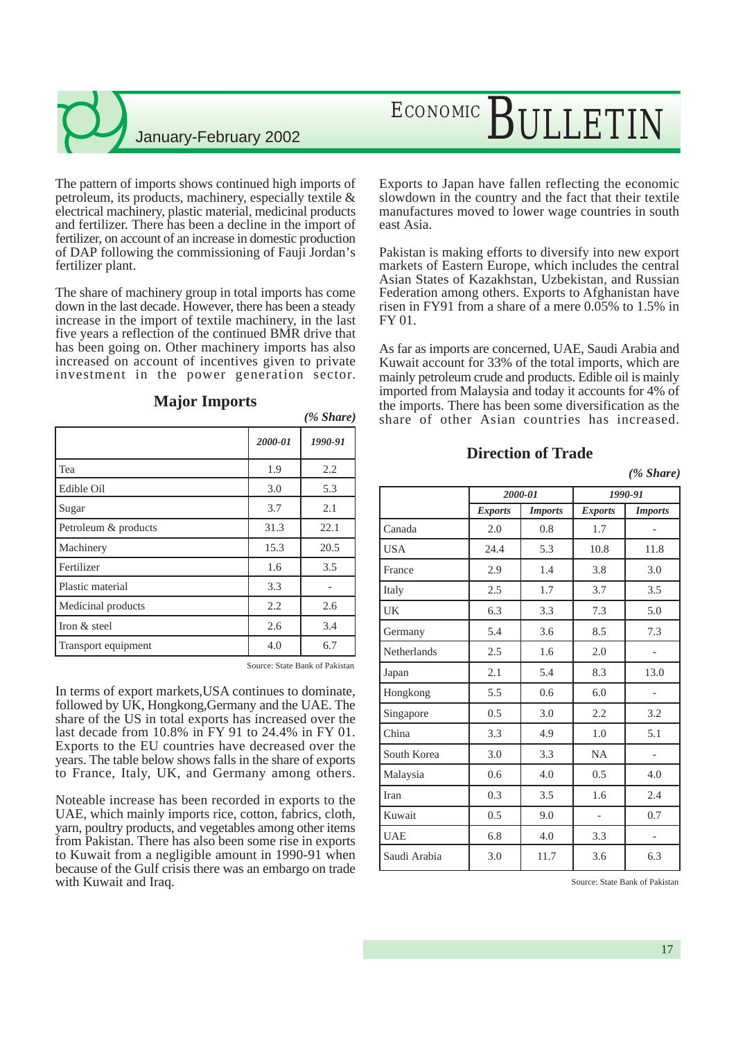The pattern of imports shows continued high imports of petroleum, its products, machinery, especially textile & electrical machinery, plastic material, medicinal products and fertilizer. There has been a decline in the import of fertilizer, on account of an increase in domestic production of DAP following the commissioning of Fauji Jordan's fertilizer plant.

The share of machinery group in total imports has come down in the last decade. However, there has been a steady increase in the import of textile machinery, in the last five years a reflection of the continued BMR drive that has been going on. Other machinery imports has also increased on account of incentives given to private investment in the power generation sector.

|                      | 2000-01 | 1990-91 |
|----------------------|---------|---------|
| Tea                  | 1.9     | 2.2     |
| Edible Oil           | 3.0     | 5.3     |
| Sugar                | 3.7     | 2.1     |
| Petroleum & products | 31.3    | 22.1    |
| Machinery            | 15.3    | 20.5    |
| Fertilizer           | 1.6     | 3.5     |
| Plastic material     | 3.3     |         |
| Medicinal products   | 2.2     | 2.6     |
| Iron & steel         | 2.6     | 3.4     |
| Transport equipment  | 4.0     | 6.7     |

#### **Major Imports**

Source: State Bank of Pakistan

*(% Share)*

In terms of export markets,USA continues to dominate, followed by UK, Hongkong,Germany and the UAE. The share of the US in total exports has increased over the last decade from 10.8% in FY 91 to 24.4% in FY 01. Exports to the EU countries have decreased over the years. The table below shows falls in the share of exports to France, Italy, UK, and Germany among others.

Noteable increase has been recorded in exports to the UAE, which mainly imports rice, cotton, fabrics, cloth, yarn, poultry products, and vegetables among other items from Pakistan. There has also been some rise in exports to Kuwait from a negligible amount in 1990-91 when because of the Gulf crisis there was an embargo on trade with Kuwait and Iraq.

# ECONOMIC BULLETIN

Exports to Japan have fallen reflecting the economic slowdown in the country and the fact that their textile manufactures moved to lower wage countries in south east Asia.

Pakistan is making efforts to diversify into new export markets of Eastern Europe, which includes the central Asian States of Kazakhstan, Uzbekistan, and Russian Federation among others. Exports to Afghanistan have risen in FY91 from a share of a mere 0.05% to 1.5% in FY 01.

As far as imports are concerned, UAE, Saudi Arabia and Kuwait account for 33% of the total imports, which are mainly petroleum crude and products. Edible oil is mainly imported from Malaysia and today it accounts for 4% of the imports. There has been some diversification as the share of other Asian countries has increased.

### **Direction of Trade**

|  | Share) |  |
|--|--------|--|
|--|--------|--|

|              |                | 2000-01        |                | 1990-91                  |
|--------------|----------------|----------------|----------------|--------------------------|
|              | <b>Exports</b> | <b>Imports</b> | <b>Exports</b> | <b>Imports</b>           |
| Canada       | 2.0            | 0.8            | 1.7            |                          |
| <b>USA</b>   | 24.4           | 5.3            | 10.8           | 11.8                     |
| France       | 2.9            | 1.4            | 3.8            | 3.0                      |
| Italy        | 2.5            | 1.7            | 3.7            | 3.5                      |
| UK           | 6.3            | 3.3            | 7.3            | 5.0                      |
| Germany      | 5.4            | 3.6            | 8.5            | 7.3                      |
| Netherlands  | 2.5            | 1.6            | 2.0            |                          |
| Japan        | 2.1            | 5.4            | 8.3            | 13.0                     |
| Hongkong     | 5.5            | 0.6            | 6.0            |                          |
| Singapore    | 0.5            | 3.0            | 2.2            | 3.2                      |
| China        | 3.3            | 4.9            | 1.0            | 5.1                      |
| South Korea  | 3.0            | 3.3            | <b>NA</b>      |                          |
| Malaysia     | 0.6            | 4.0            | 0.5            | 4.0                      |
| Iran         | 0.3            | 3.5            | 1.6            | 2.4                      |
| Kuwait       | 0.5            | 9.0            |                | 0.7                      |
| <b>UAE</b>   | 6.8            | 4.0            | 3.3            | $\overline{\phantom{0}}$ |
| Saudi Arabia | 3.0            | 11.7           | 3.6            | 6.3                      |

Source: State Bank of Pakistan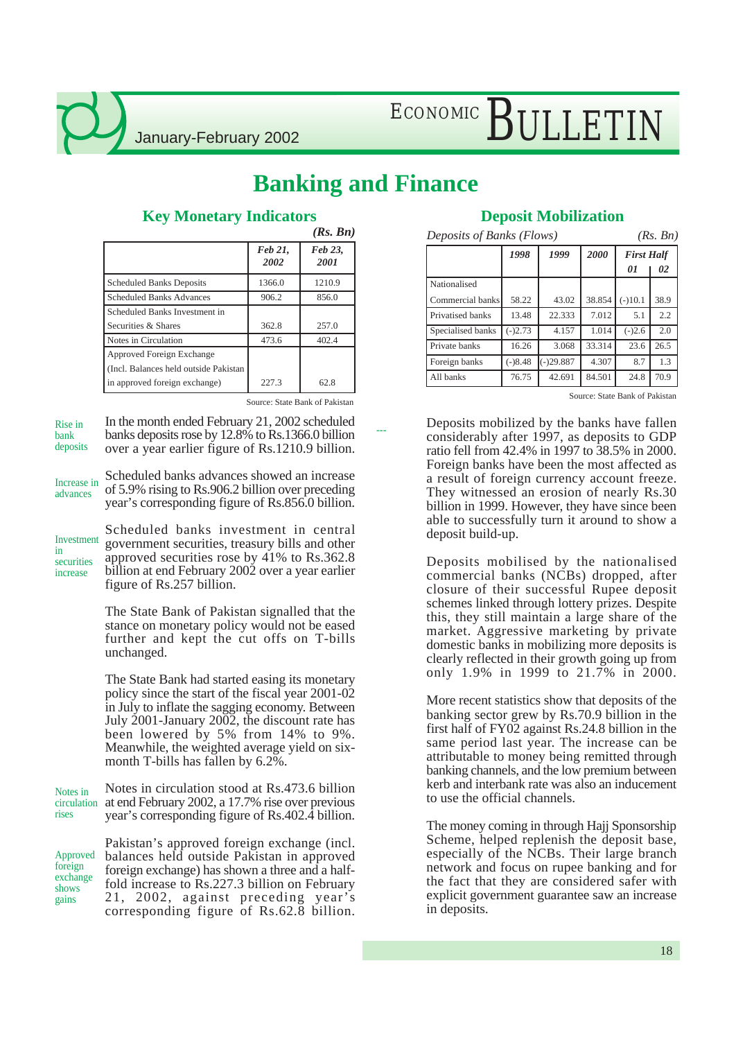# ECONOMIC BULLETIN

## **Banking and Finance**

---

|                                        |                 | (Rs. Bn)        |
|----------------------------------------|-----------------|-----------------|
|                                        | Feb 21.<br>2002 | Feb 23.<br>2001 |
| <b>Scheduled Banks Deposits</b>        | 1366.0          | 1210.9          |
| <b>Scheduled Banks Advances</b>        | 906.2           | 856.0           |
| Scheduled Banks Investment in          |                 |                 |
| Securities & Shares                    | 362.8           | 257.0           |
| Notes in Circulation                   | 473.6           | 402.4           |
| Approved Foreign Exchange              |                 |                 |
| (Incl. Balances held outside Pakistan) |                 |                 |
| in approved foreign exchange)          | 227.3           | 62.8            |

### **Key Monetary Indicators**

Source: State Bank of Pakistan

In the month ended February 21, 2002 scheduled banks deposits rose by 12.8% to Rs.1366.0 billion over a year earlier figure of Rs.1210.9 billion. Rise in bank deposits

Scheduled banks advances showed an increase of 5.9% rising to Rs.906.2 billion over preceding year's corresponding figure of Rs.856.0 billion. Increase in advances

Investment in securities increase

Scheduled banks investment in central government securities, treasury bills and other approved securities rose by 41% to Rs.362.8 billion at end February 2002 over a year earlier figure of Rs.257 billion.

The State Bank of Pakistan signalled that the stance on monetary policy would not be eased further and kept the cut offs on T-bills unchanged.

The State Bank had started easing its monetary policy since the start of the fiscal year 2001-02 in July to inflate the sagging economy. Between July 2001-January 2002, the discount rate has been lowered by 5% from 14% to 9%. Meanwhile, the weighted average yield on sixmonth T-bills has fallen by 6.2%.

Notes in circulation stood at Rs.473.6 billion at end February 2002, a 17.7% rise over previous year's corresponding figure of Rs.402.4 billion. Notes in circulation rises

Pakistan's approved foreign exchange (incl. balances held outside Pakistan in approved foreign exchange) has shown a three and a halffold increase to Rs.227.3 billion on February 21, 2002, against preceding year's corresponding figure of Rs.62.8 billion. Approved foreign exchange shows gains

| <b>Deposit Mobilization</b> |
|-----------------------------|
|-----------------------------|

| Deposits of Banks (Flows)<br>(Rs, Bn) |           |             |        |                   |      |  |  |  |
|---------------------------------------|-----------|-------------|--------|-------------------|------|--|--|--|
|                                       | 1998      | 1999        | 2000   | <b>First Half</b> |      |  |  |  |
|                                       |           |             |        | 01                | 02   |  |  |  |
| Nationalised                          |           |             |        |                   |      |  |  |  |
| Commercial banks                      | 58.22     | 43.02       | 38.854 | $(-10.1)$         | 38.9 |  |  |  |
| Privatised banks                      | 13.48     | 22.333      | 7.012  | 5.1               | 2.2  |  |  |  |
| Specialised banks                     | $(-)2.73$ | 4.157       | 1.014  | $(-)2.6$          | 2.0  |  |  |  |
| Private banks                         | 16.26     | 3.068       | 33.314 | 23.6              | 26.5 |  |  |  |
| Foreign banks                         | $(-)8.48$ | $(-)29.887$ | 4.307  | 8.7               | 1.3  |  |  |  |
| All banks                             | 76.75     | 42.691      | 84.501 | 24.8              | 70.9 |  |  |  |

Source: State Bank of Pakistan

Deposits mobilized by the banks have fallen considerably after 1997, as deposits to GDP ratio fell from 42.4% in 1997 to 38.5% in 2000. Foreign banks have been the most affected as a result of foreign currency account freeze. They witnessed an erosion of nearly Rs.30 billion in 1999. However, they have since been able to successfully turn it around to show a deposit build-up.

Deposits mobilised by the nationalised commercial banks (NCBs) dropped, after closure of their successful Rupee deposit schemes linked through lottery prizes. Despite this, they still maintain a large share of the market. Aggressive marketing by private domestic banks in mobilizing more deposits is clearly reflected in their growth going up from only 1.9% in 1999 to 21.7% in 2000.

More recent statistics show that deposits of the banking sector grew by Rs.70.9 billion in the first half of FY02 against Rs.24.8 billion in the same period last year. The increase can be attributable to money being remitted through banking channels, and the low premium between kerb and interbank rate was also an inducement to use the official channels.

The money coming in through Hajj Sponsorship Scheme, helped replenish the deposit base, especially of the NCBs. Their large branch network and focus on rupee banking and for the fact that they are considered safer with explicit government guarantee saw an increase in deposits.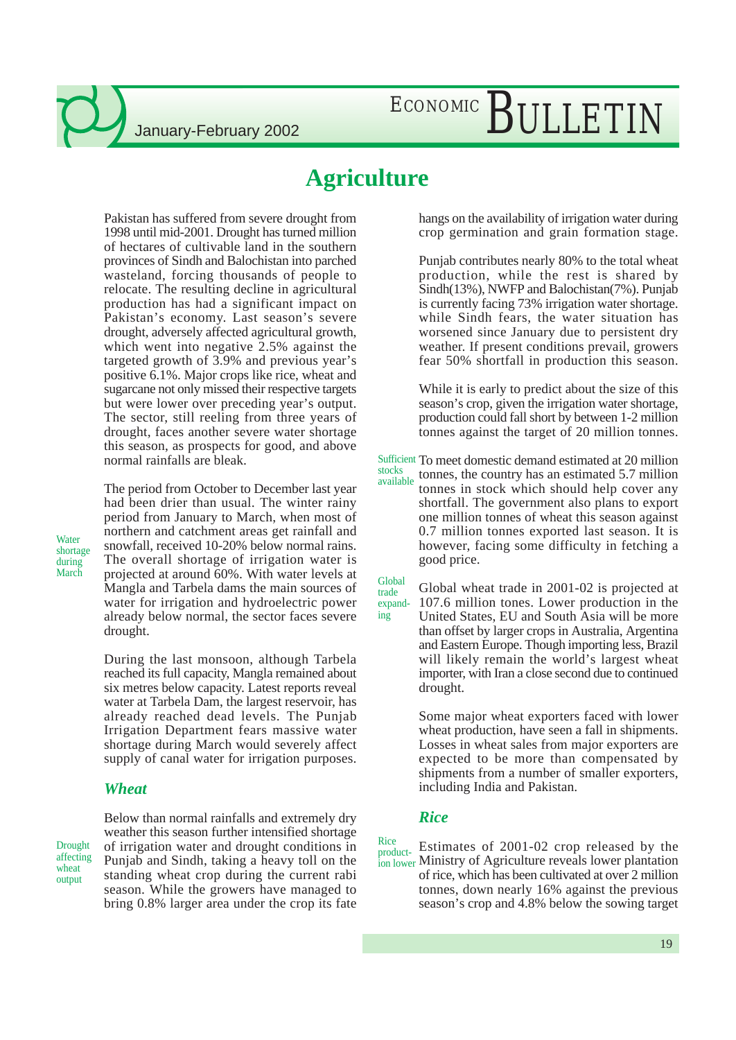# ECONOMIC BULLETIN

### **Agriculture**

Pakistan has suffered from severe drought from 1998 until mid-2001. Drought has turned million of hectares of cultivable land in the southern provinces of Sindh and Balochistan into parched wasteland, forcing thousands of people to relocate. The resulting decline in agricultural production has had a significant impact on Pakistan's economy. Last season's severe drought, adversely affected agricultural growth, which went into negative 2.5% against the targeted growth of 3.9% and previous year's positive 6.1%. Major crops like rice, wheat and sugarcane not only missed their respective targets but were lower over preceding year's output. The sector, still reeling from three years of drought, faces another severe water shortage this season, as prospects for good, and above normal rainfalls are bleak.

The period from October to December last year had been drier than usual. The winter rainy period from January to March, when most of northern and catchment areas get rainfall and snowfall, received 10-20% below normal rains. The overall shortage of irrigation water is projected at around 60%. With water levels at Mangla and Tarbela dams the main sources of water for irrigation and hydroelectric power already below normal, the sector faces severe drought.

During the last monsoon, although Tarbela reached its full capacity, Mangla remained about six metres below capacity. Latest reports reveal water at Tarbela Dam, the largest reservoir, has already reached dead levels. The Punjab Irrigation Department fears massive water shortage during March would severely affect supply of canal water for irrigation purposes.

### *Wheat*

Drought affecting wheat output

**Water** shortage during March

> Below than normal rainfalls and extremely dry weather this season further intensified shortage of irrigation water and drought conditions in Punjab and Sindh, taking a heavy toll on the standing wheat crop during the current rabi season. While the growers have managed to bring 0.8% larger area under the crop its fate

hangs on the availability of irrigation water during crop germination and grain formation stage.

Punjab contributes nearly 80% to the total wheat production, while the rest is shared by Sindh(13%), NWFP and Balochistan(7%). Punjab is currently facing 73% irrigation water shortage. while Sindh fears, the water situation has worsened since January due to persistent dry weather. If present conditions prevail, growers fear 50% shortfall in production this season.

While it is early to predict about the size of this season's crop, given the irrigation water shortage, production could fall short by between 1-2 million tonnes against the target of 20 million tonnes.

Sufficient To meet domestic demand estimated at 20 million stocks available tonnes, the country has an estimated 5.7 million tonnes in stock which should help cover any shortfall. The government also plans to export one million tonnes of wheat this season against 0.7 million tonnes exported last season. It is however, facing some difficulty in fetching a good price.

Global wheat trade in 2001-02 is projected at Global trade

expanding

107.6 million tones. Lower production in the United States, EU and South Asia will be more than offset by larger crops in Australia, Argentina and Eastern Europe. Though importing less, Brazil will likely remain the world's largest wheat importer, with Iran a close second due to continued drought.

Some major wheat exporters faced with lower wheat production, have seen a fall in shipments. Losses in wheat sales from major exporters are expected to be more than compensated by shipments from a number of smaller exporters, including India and Pakistan.

#### *Rice*

Estimates of 2001-02 crop released by the ion lower Ministry of Agriculture reveals lower plantation of rice, which has been cultivated at over 2 million tonnes, down nearly 16% against the previous season's crop and 4.8% below the sowing target Rice product-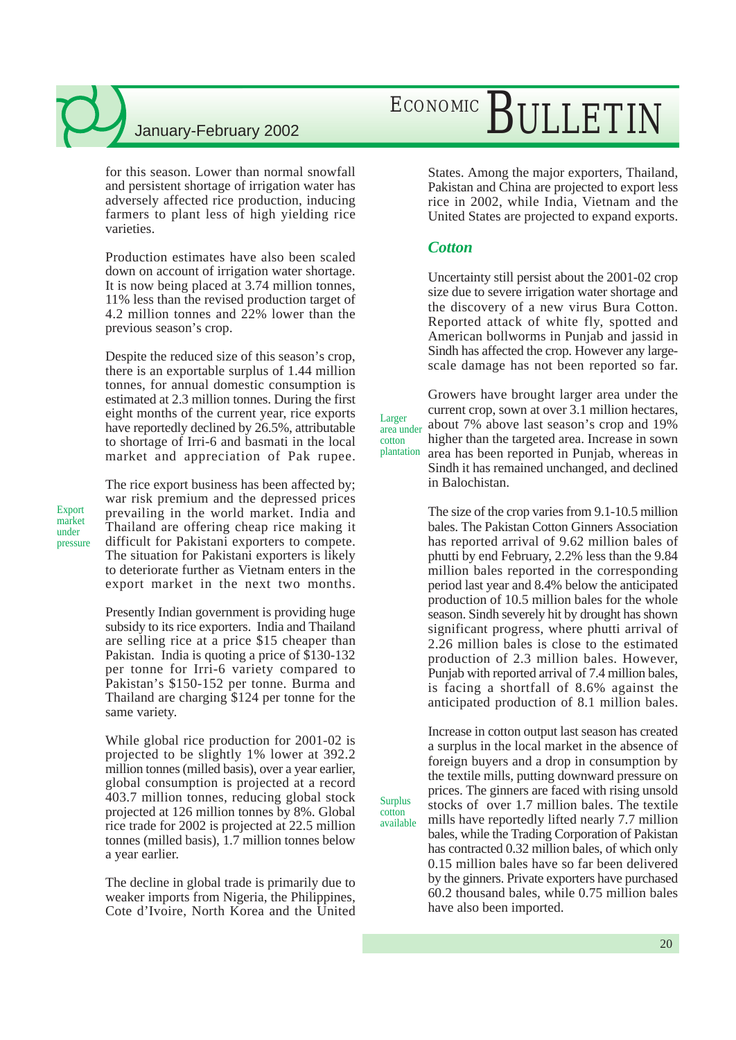for this season. Lower than normal snowfall and persistent shortage of irrigation water has adversely affected rice production, inducing farmers to plant less of high yielding rice varieties.

Production estimates have also been scaled down on account of irrigation water shortage. It is now being placed at 3.74 million tonnes, 11% less than the revised production target of 4.2 million tonnes and 22% lower than the previous season's crop.

Despite the reduced size of this season's crop, there is an exportable surplus of 1.44 million tonnes, for annual domestic consumption is estimated at 2.3 million tonnes. During the first eight months of the current year, rice exports have reportedly declined by 26.5%, attributable to shortage of Irri-6 and basmati in the local market and appreciation of Pak rupee.

Export market under pressure The rice export business has been affected by; war risk premium and the depressed prices prevailing in the world market. India and Thailand are offering cheap rice making it difficult for Pakistani exporters to compete. The situation for Pakistani exporters is likely to deteriorate further as Vietnam enters in the export market in the next two months.

Presently Indian government is providing huge subsidy to its rice exporters. India and Thailand are selling rice at a price \$15 cheaper than Pakistan. India is quoting a price of \$130-132 per tonne for Irri-6 variety compared to Pakistan's \$150-152 per tonne. Burma and Thailand are charging \$124 per tonne for the same variety.

While global rice production for 2001-02 is projected to be slightly 1% lower at 392.2 million tonnes (milled basis), over a year earlier, global consumption is projected at a record 403.7 million tonnes, reducing global stock projected at 126 million tonnes by 8%. Global rice trade for 2002 is projected at 22.5 million tonnes (milled basis), 1.7 million tonnes below a year earlier.

The decline in global trade is primarily due to weaker imports from Nigeria, the Philippines, Cote d'Ivoire, North Korea and the United

# ECONOMIC BULLETIN

States. Among the major exporters, Thailand, Pakistan and China are projected to export less rice in 2002, while India, Vietnam and the United States are projected to expand exports.

### *Cotton*

Larger

cotton

Surplus cotton available

Uncertainty still persist about the 2001-02 crop size due to severe irrigation water shortage and the discovery of a new virus Bura Cotton. Reported attack of white fly, spotted and American bollworms in Punjab and jassid in Sindh has affected the crop. However any largescale damage has not been reported so far.

Growers have brought larger area under the current crop, sown at over 3.1 million hectares, about 7% above last season's crop and 19% higher than the targeted area. Increase in sown area has been reported in Punjab, whereas in Sindh it has remained unchanged, and declined in Balochistan. area under plantation

> The size of the crop varies from 9.1-10.5 million bales. The Pakistan Cotton Ginners Association has reported arrival of 9.62 million bales of phutti by end February, 2.2% less than the 9.84 million bales reported in the corresponding period last year and 8.4% below the anticipated production of 10.5 million bales for the whole season. Sindh severely hit by drought has shown significant progress, where phutti arrival of 2.26 million bales is close to the estimated production of 2.3 million bales. However, Punjab with reported arrival of 7.4 million bales, is facing a shortfall of 8.6% against the anticipated production of 8.1 million bales.

Increase in cotton output last season has created a surplus in the local market in the absence of foreign buyers and a drop in consumption by the textile mills, putting downward pressure on prices. The ginners are faced with rising unsold stocks of over 1.7 million bales. The textile mills have reportedly lifted nearly 7.7 million bales, while the Trading Corporation of Pakistan has contracted 0.32 million bales, of which only 0.15 million bales have so far been delivered by the ginners. Private exporters have purchased 60.2 thousand bales, while 0.75 million bales have also been imported.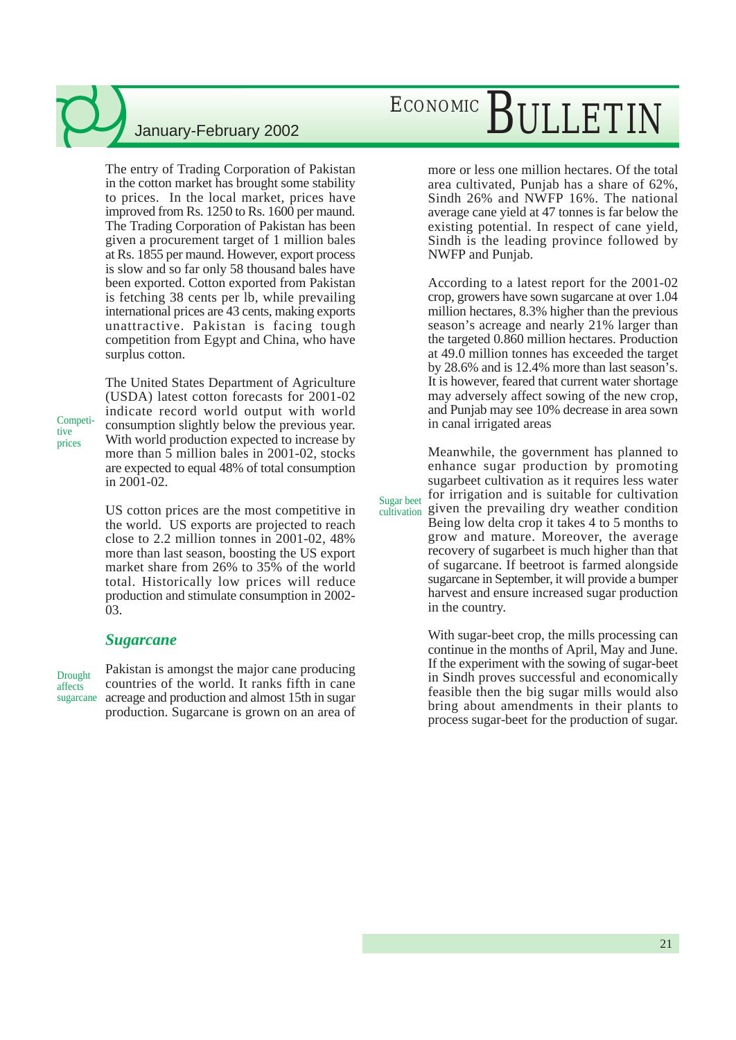The entry of Trading Corporation of Pakistan in the cotton market has brought some stability to prices. In the local market, prices have improved from Rs. 1250 to Rs. 1600 per maund. The Trading Corporation of Pakistan has been given a procurement target of 1 million bales at Rs. 1855 per maund. However, export process is slow and so far only 58 thousand bales have been exported. Cotton exported from Pakistan is fetching 38 cents per lb, while prevailing international prices are 43 cents, making exports unattractive. Pakistan is facing tough competition from Egypt and China, who have surplus cotton.

The United States Department of Agriculture (USDA) latest cotton forecasts for 2001-02 indicate record world output with world consumption slightly below the previous year. With world production expected to increase by more than 5 million bales in 2001-02, stocks are expected to equal 48% of total consumption in 2001-02.

US cotton prices are the most competitive in the world. US exports are projected to reach close to 2.2 million tonnes in 2001-02, 48% more than last season, boosting the US export market share from 26% to 35% of the world total. Historically low prices will reduce production and stimulate consumption in 2002- 03.

### *Sugarcane*

Drought affects sugarcane

Competitive prices

> Pakistan is amongst the major cane producing countries of the world. It ranks fifth in cane acreage and production and almost 15th in sugar production. Sugarcane is grown on an area of

# ECONOMIC BULLETIN

more or less one million hectares. Of the total area cultivated, Punjab has a share of 62%, Sindh 26% and NWFP 16%. The national average cane yield at 47 tonnes is far below the existing potential. In respect of cane yield, Sindh is the leading province followed by NWFP and Punjab.

According to a latest report for the 2001-02 crop, growers have sown sugarcane at over 1.04 million hectares, 8.3% higher than the previous season's acreage and nearly 21% larger than the targeted 0.860 million hectares. Production at 49.0 million tonnes has exceeded the target by 28.6% and is 12.4% more than last season's. It is however, feared that current water shortage may adversely affect sowing of the new crop, and Punjab may see 10% decrease in area sown in canal irrigated areas

Meanwhile, the government has planned to enhance sugar production by promoting sugarbeet cultivation as it requires less water for irrigation and is suitable for cultivation given the prevailing dry weather condition Being low delta crop it takes 4 to 5 months to grow and mature. Moreover, the average recovery of sugarbeet is much higher than that of sugarcane. If beetroot is farmed alongside sugarcane in September, it will provide a bumper harvest and ensure increased sugar production in the country. Sugar beet cultivation

> With sugar-beet crop, the mills processing can continue in the months of April, May and June. If the experiment with the sowing of sugar-beet in Sindh proves successful and economically feasible then the big sugar mills would also bring about amendments in their plants to process sugar-beet for the production of sugar.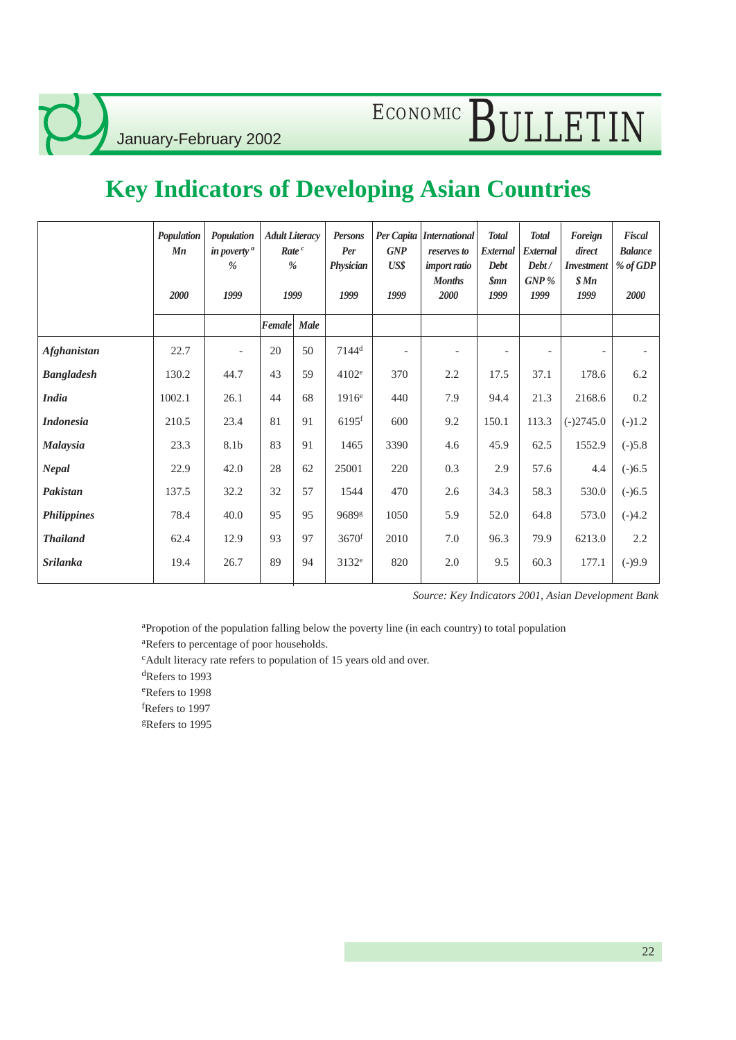# ECONOMIC BULLETIN

## **Key Indicators of Developing Asian Countries**

|             | Population<br>Mn<br>2000 | Population<br>in poverty <sup>a</sup><br>$\%$<br>1999 | <b>Adult Literacy</b><br>Rate <sup>c</sup><br>$\%$<br>1999 |      | Persons<br>Per<br>Physician<br>1999 | <b>GNP</b><br>US\$<br>1999 | Per Capita   International<br>reserves to<br>import ratio<br><b>Months</b><br>2000 | Total<br>External<br>Debt<br>Smn<br>1999 | Total<br>External<br>Debt/<br>GNP%<br>1999 | Foreign<br>direct<br>Investment<br>\$ Mn<br>1999 | Fiscal<br><b>Balance</b><br>% of GDP<br>2000 |
|-------------|--------------------------|-------------------------------------------------------|------------------------------------------------------------|------|-------------------------------------|----------------------------|------------------------------------------------------------------------------------|------------------------------------------|--------------------------------------------|--------------------------------------------------|----------------------------------------------|
|             |                          |                                                       | Female                                                     | Male |                                     |                            |                                                                                    |                                          |                                            |                                                  |                                              |
| Afghanistan | 22.7                     |                                                       | 20                                                         | 50   | $7144^d$                            | $\overline{\phantom{a}}$   |                                                                                    |                                          |                                            |                                                  |                                              |
| Bangladesh  | 130.2                    | 44.7                                                  | 43                                                         | 59   | 4102 <sup>e</sup>                   | 370                        | 2.2                                                                                | 17.5                                     | 37.1                                       | 178.6                                            | 6.2                                          |
| India       | 1002.1                   | 26.1                                                  | 44                                                         | 68   | 1916 <sup>e</sup>                   | 440                        | 7.9                                                                                | 94.4                                     | 21.3                                       | 2168.6                                           | 0.2                                          |
| Indonesia   | 210.5                    | 23.4                                                  | 81                                                         | 91   | $6195$ <sup>f</sup>                 | 600                        | 9.2                                                                                | 150.1                                    | 113.3                                      | $(-)2745.0$                                      | $(-)1.2$                                     |
| Malaysia    | 23.3                     | 8.1b                                                  | 83                                                         | 91   | 1465                                | 3390                       | 4.6                                                                                | 45.9                                     | 62.5                                       | 1552.9                                           | $(-)5.8$                                     |
| Nepal       | 22.9                     | 42.0                                                  | 28                                                         | 62   | 25001                               | 220                        | 0.3                                                                                | 2.9                                      | 57.6                                       | 4.4                                              | $(-)6.5$                                     |
| Pakistan    | 137.5                    | 32.2                                                  | 32                                                         | 57   | 1544                                | 470                        | 2.6                                                                                | 34.3                                     | 58.3                                       | 530.0                                            | $(-)6.5$                                     |
| Philippines | 78.4                     | 40.0                                                  | 95                                                         | 95   | 9689g                               | 1050                       | 5.9                                                                                | 52.0                                     | 64.8                                       | 573.0                                            | $(-)4.2$                                     |
| Thailand    | 62.4                     | 12.9                                                  | 93                                                         | 97   | 3670f                               | 2010                       | 7.0                                                                                | 96.3                                     | 79.9                                       | 6213.0                                           | 2.2                                          |
| Srilanka    | 19.4                     | 26.7                                                  | 89                                                         | 94   | 3132 <sup>e</sup>                   | 820                        | 2.0                                                                                | 9.5                                      | 60.3                                       | 177.1                                            | $(-)9.9$                                     |

*Source: Key Indicators 2001, Asian Development Bank*

<sup>a</sup>Propotion of the population falling below the poverty line (in each country) to total population

<sup>a</sup>Refers to percentage of poor households.

<sup>c</sup>Adult literacy rate refers to population of 15 years old and over.

<sup>d</sup>Refers to 1993

<sup>e</sup>Refers to 1998

<sup>f</sup>Refers to 1997

<sup>g</sup>Refers to 1995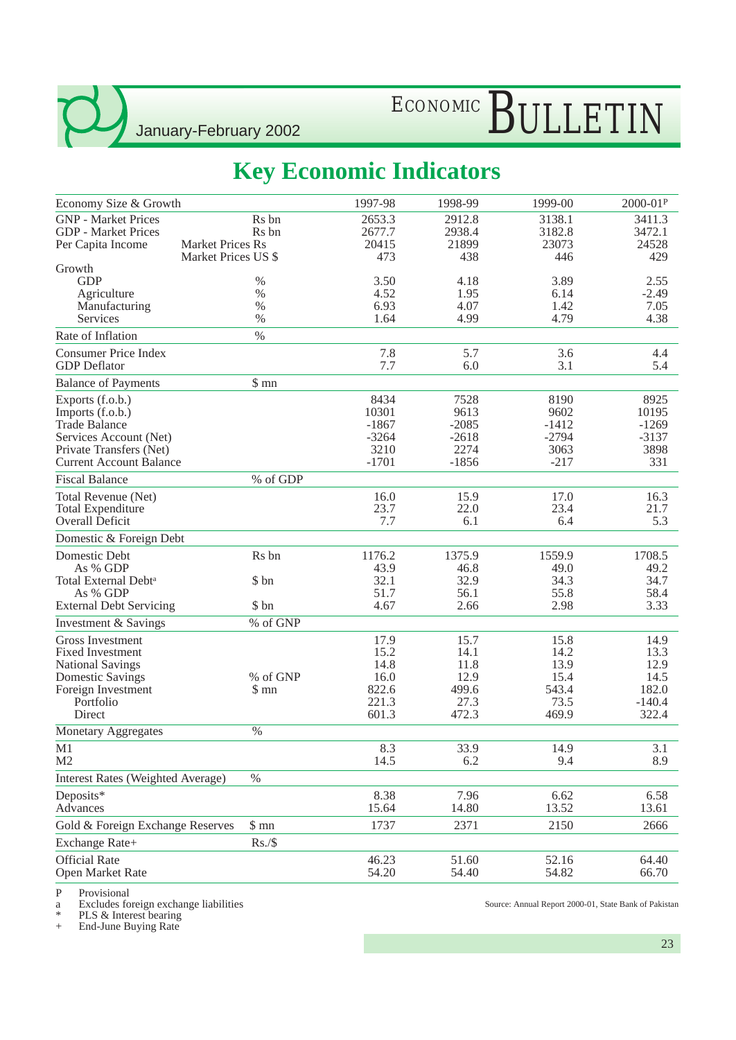# ECONOMIC BULLETIN

## **Key Economic Indicators**

| Economy Size & Growth                                                                                                                               |                                                | 1997-98                                                | 1998-99                                               | 1999-00                                              | 2000-01P                                           |
|-----------------------------------------------------------------------------------------------------------------------------------------------------|------------------------------------------------|--------------------------------------------------------|-------------------------------------------------------|------------------------------------------------------|----------------------------------------------------|
| <b>GNP</b> - Market Prices<br><b>GDP</b> - Market Prices                                                                                            | Rs bn<br>R <sub>s</sub> bn                     | 2653.3<br>2677.7                                       | 2912.8<br>2938.4                                      | 3138.1<br>3182.8                                     | 3411.3<br>3472.1                                   |
| Per Capita Income                                                                                                                                   | <b>Market Prices Rs</b><br>Market Prices US \$ | 20415<br>473                                           | 21899<br>438                                          | 23073<br>446                                         | 24528<br>429                                       |
| Growth<br><b>GDP</b><br>Agriculture                                                                                                                 | %<br>$\%$                                      | 3.50<br>4.52                                           | 4.18<br>1.95                                          | 3.89<br>6.14                                         | 2.55<br>$-2.49$                                    |
| Manufacturing                                                                                                                                       | $\%$                                           | 6.93                                                   | 4.07                                                  | 1.42                                                 | 7.05                                               |
| <b>Services</b>                                                                                                                                     | $\%$                                           | 1.64                                                   | 4.99                                                  | 4.79                                                 | 4.38                                               |
| Rate of Inflation                                                                                                                                   | $\%$                                           |                                                        |                                                       |                                                      |                                                    |
| <b>Consumer Price Index</b><br><b>GDP</b> Deflator                                                                                                  |                                                | 7.8<br>7.7                                             | 5.7<br>6.0                                            | 3.6<br>3.1                                           | 4.4<br>5.4                                         |
| <b>Balance of Payments</b>                                                                                                                          | \$mn                                           |                                                        |                                                       |                                                      |                                                    |
| Exports (f.o.b.)<br>Imports (f.o.b.)<br><b>Trade Balance</b><br>Services Account (Net)<br>Private Transfers (Net)<br><b>Current Account Balance</b> |                                                | 8434<br>10301<br>$-1867$<br>$-3264$<br>3210<br>$-1701$ | 7528<br>9613<br>$-2085$<br>$-2618$<br>2274<br>$-1856$ | 8190<br>9602<br>$-1412$<br>$-2794$<br>3063<br>$-217$ | 8925<br>10195<br>$-1269$<br>$-3137$<br>3898<br>331 |
| <b>Fiscal Balance</b>                                                                                                                               | % of GDP                                       |                                                        |                                                       |                                                      |                                                    |
| Total Revenue (Net)<br><b>Total Expenditure</b><br>Overall Deficit                                                                                  |                                                | 16.0<br>23.7<br>7.7                                    | 15.9<br>22.0<br>6.1                                   | 17.0<br>23.4<br>6.4                                  | 16.3<br>21.7<br>5.3                                |
| Domestic & Foreign Debt                                                                                                                             |                                                |                                                        |                                                       |                                                      |                                                    |
| Domestic Debt<br>As % GDP<br>Total External Debt <sup>a</sup>                                                                                       | Rs bn<br>\$ bn                                 | 1176.2<br>43.9<br>32.1                                 | 1375.9<br>46.8<br>32.9                                | 1559.9<br>49.0<br>34.3                               | 1708.5<br>49.2<br>34.7                             |
| As % GDP<br><b>External Debt Servicing</b>                                                                                                          | \$ bn                                          | 51.7<br>4.67                                           | 56.1<br>2.66                                          | 55.8<br>2.98                                         | 58.4<br>3.33                                       |
| Investment & Savings                                                                                                                                | % of GNP                                       |                                                        |                                                       |                                                      |                                                    |
| <b>Gross Investment</b><br><b>Fixed Investment</b><br><b>National Savings</b>                                                                       |                                                | 17.9<br>15.2<br>14.8                                   | 15.7<br>14.1<br>11.8                                  | 15.8<br>14.2<br>13.9                                 | 14.9<br>13.3<br>12.9                               |
| <b>Domestic Savings</b>                                                                                                                             | % of GNP                                       | 16.0                                                   | 12.9                                                  | 15.4                                                 | 14.5                                               |
| Foreign Investment<br>Portfolio<br><b>Direct</b>                                                                                                    | \$ mn                                          | 822.6<br>221.3<br>601.3                                | 499.6<br>27.3<br>472.3                                | 543.4<br>73.5<br>469.9                               | 182.0<br>$-140.4$<br>322.4                         |
| Monetary Aggregates                                                                                                                                 | $\%$                                           |                                                        |                                                       |                                                      |                                                    |
| M1<br>M <sub>2</sub>                                                                                                                                |                                                | 8.3<br>14.5                                            | 33.9<br>6.2                                           | 14.9<br>9.4                                          | 3.1<br>8.9                                         |
| Interest Rates (Weighted Average)                                                                                                                   | $\%$                                           |                                                        |                                                       |                                                      |                                                    |
| Deposits*<br>Advances                                                                                                                               |                                                | 8.38<br>15.64                                          | 7.96<br>14.80                                         | 6.62<br>13.52                                        | 6.58<br>13.61                                      |
| Gold & Foreign Exchange Reserves                                                                                                                    | $\mathop{\$}$ mn                               | 1737                                                   | 2371                                                  | 2150                                                 | 2666                                               |
| Exchange Rate+                                                                                                                                      | Rs./\$                                         |                                                        |                                                       |                                                      |                                                    |
| <b>Official Rate</b><br>Open Market Rate                                                                                                            |                                                | 46.23<br>54.20                                         | 51.60<br>54.40                                        | 52.16<br>54.82                                       | 64.40<br>66.70                                     |

P Provisional<br>a Excludes fo<br>\* PLS & Inter a Excludes foreign exchange liabilities

\* PLS & Interest bearing

+ End-June Buying Rate

Source: Annual Report 2000-01, State Bank of Pakistan

23